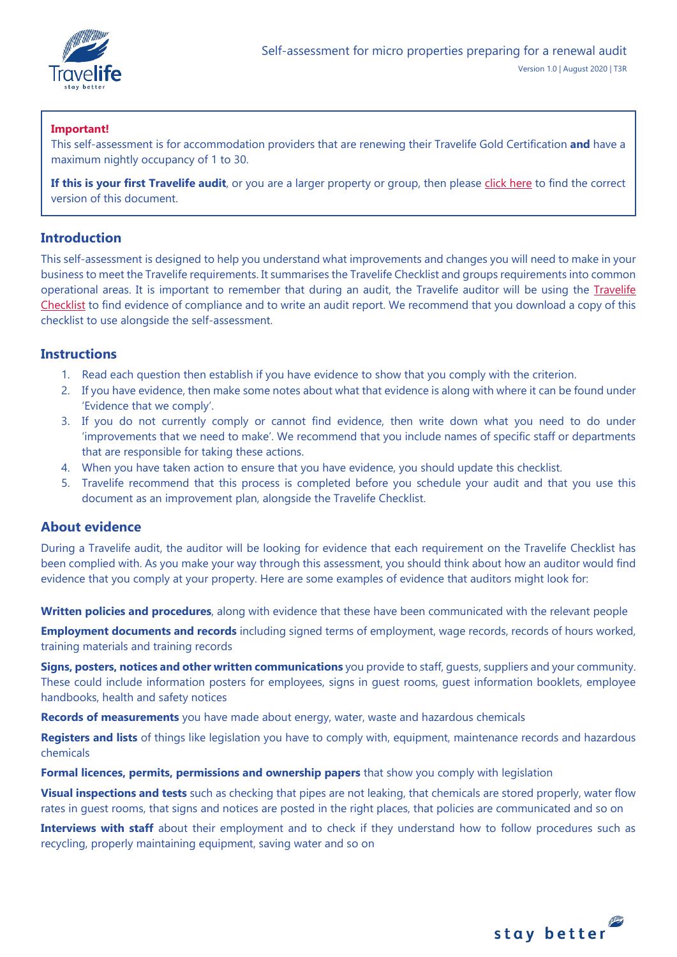

## **Important!**

This self-assessment is for accommodation providers that are renewing their Travelife Gold Certification **and** have a maximum nightly occupancy of 1 to 30.

If this is your first Travelife audit, or you are a larger property or group, then please [click here](https://travelifestaybetter.com/your-audit/) to find the correct version of this document.

## **Introduction**

This self-assessment is designed to help you understand what improvements and changes you will need to make in your business to meet the Travelife requirements. It summarises the Travelife Checklist and groups requirements into common operational areas. It is important to remember that during an audit, the Travelife auditor will be using the [Travelife](https://travelifestaybetter.com/travelife-standard-checklists/)  [Checklist](https://travelifestaybetter.com/travelife-standard-checklists/) to find evidence of compliance and to write an audit report. We recommend that you download a copy of this checklist to use alongside the self-assessment.

## **Instructions**

- 1. Read each question then establish if you have evidence to show that you comply with the criterion.
- 2. If you have evidence, then make some notes about what that evidence is along with where it can be found under 'Evidence that we comply'.
- 3. If you do not currently comply or cannot find evidence, then write down what you need to do under 'improvements that we need to make'. We recommend that you include names of specific staff or departments that are responsible for taking these actions.
- 4. When you have taken action to ensure that you have evidence, you should update this checklist.
- 5. Travelife recommend that this process is completed before you schedule your audit and that you use this document as an improvement plan, alongside the Travelife Checklist.

## **About evidence**

During a Travelife audit, the auditor will be looking for evidence that each requirement on the Travelife Checklist has been complied with. As you make your way through this assessment, you should think about how an auditor would find evidence that you comply at your property. Here are some examples of evidence that auditors might look for:

**Written policies and procedures**, along with evidence that these have been communicated with the relevant people

**Employment documents and records** including signed terms of employment, wage records, records of hours worked, training materials and training records

**Signs, posters, notices and other written communications** you provide to staff, guests, suppliers and your community. These could include information posters for employees, signs in guest rooms, guest information booklets, employee handbooks, health and safety notices

**Records of measurements** you have made about energy, water, waste and hazardous chemicals

**Registers and lists** of things like legislation you have to comply with, equipment, maintenance records and hazardous chemicals

**Formal licences, permits, permissions and ownership papers** that show you comply with legislation

**Visual inspections and tests** such as checking that pipes are not leaking, that chemicals are stored properly, water flow rates in guest rooms, that signs and notices are posted in the right places, that policies are communicated and so on

**Interviews with staff** about their employment and to check if they understand how to follow procedures such as recycling, properly maintaining equipment, saving water and so on

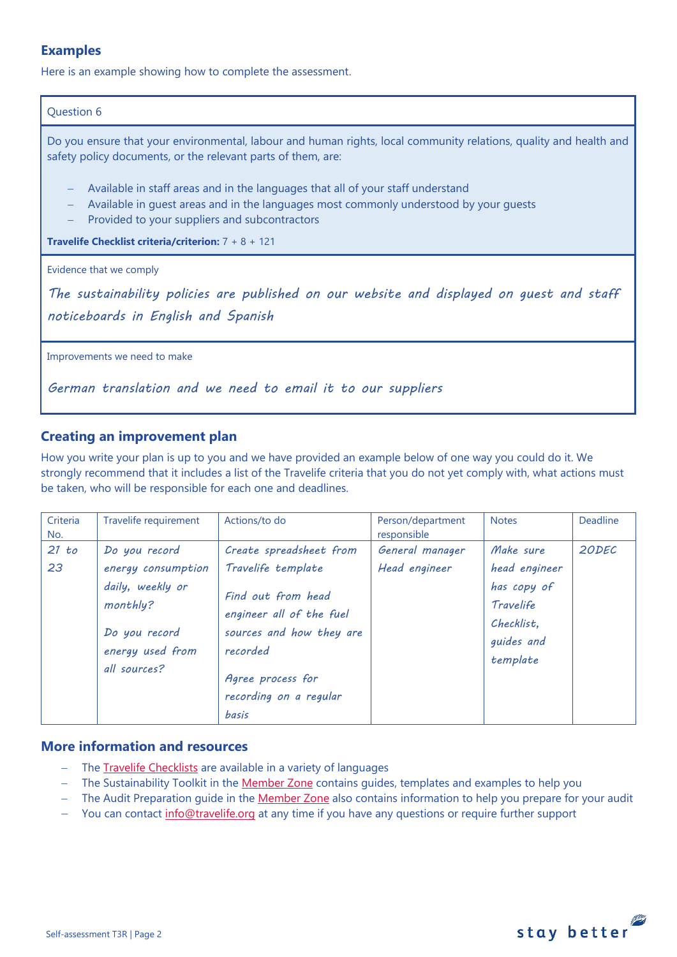## **Examples**

Here is an example showing how to complete the assessment.

#### Question 6

Do you ensure that your environmental, labour and human rights, local community relations, quality and health and safety policy documents, or the relevant parts of them, are:

- − Available in staff areas and in the languages that all of your staff understand
- − Available in guest areas and in the languages most commonly understood by your guests
- Provided to your suppliers and subcontractors

**Travelife Checklist criteria/criterion:** 7 + 8 + 121

#### Evidence that we comply

*The sustainability policies are published on our website and displayed on guest and staff noticeboards in English and Spanish* 

Improvements we need to make

*German translation and we need to email it to our suppliers*

## **Creating an improvement plan**

How you write your plan is up to you and we have provided an example below of one way you could do it. We strongly recommend that it includes a list of the Travelife criteria that you do not yet comply with, what actions must be taken, who will be responsible for each one and deadlines.

| Criteria<br>No. | Travelife requirement                                                                                                    | Actions/to do                                                                                                                                                                          | Person/department<br>responsible | <b>Notes</b>                                                                                   | <b>Deadline</b> |
|-----------------|--------------------------------------------------------------------------------------------------------------------------|----------------------------------------------------------------------------------------------------------------------------------------------------------------------------------------|----------------------------------|------------------------------------------------------------------------------------------------|-----------------|
| 21 to<br>23     | Do you record<br>energy consumption<br>daily, weekly or<br>monthly?<br>Do you record<br>energy used from<br>all sources? | Create spreadsheet from<br>Travelife template<br>Find out from head<br>engineer all of the fuel<br>sources and how they are<br>recorded<br>Agree process for<br>recording on a regular | General manager<br>Head engineer | Make sure<br>head engineer<br>has copy of<br>Travelife<br>Checklist.<br>guides and<br>template | 20DEC           |
|                 |                                                                                                                          | basis                                                                                                                                                                                  |                                  |                                                                                                |                 |

## **More information and resources**

- The [Travelife Checklists](https://travelifestaybetter.com/travelife-standard-checklists/) are available in a variety of languages
- − The Sustainability Toolkit in the [Member Zone](https://travelifestaybetter.com/accommodation-member-zone/) contains guides, templates and examples to help you
- The Audit Preparation guide in the [Member Zone](https://travelifestaybetter.com/accommodation-member-zone/) also contains information to help you prepare for your audit
- You can contact [info@travelife.org](mailto:info@travelife.org) at any time if you have any questions or require further support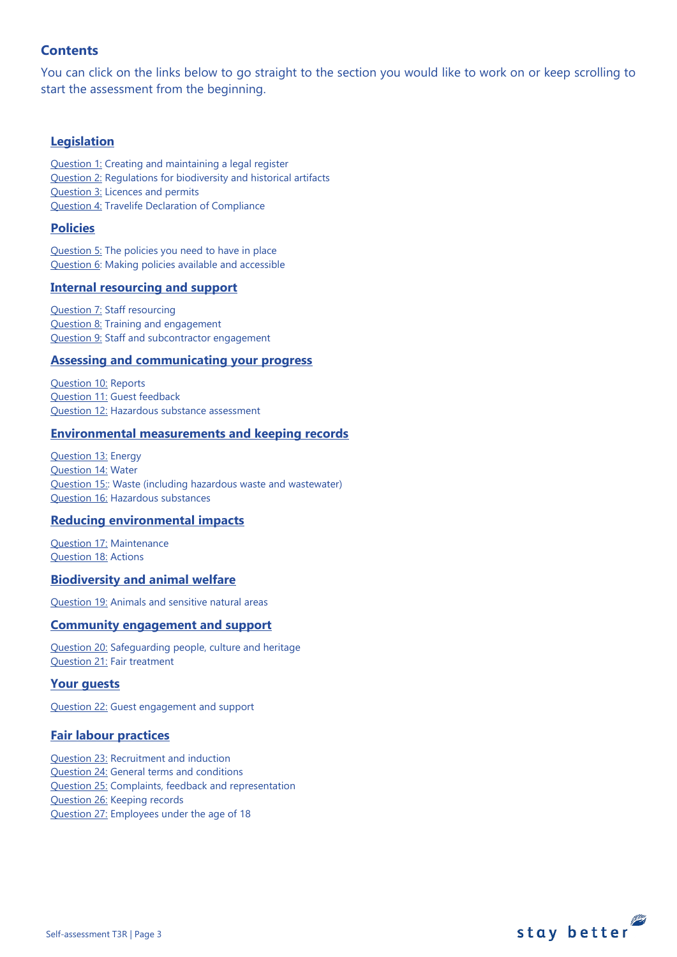## **Contents**

You can click on the links below to go straight to the section you would like to work on or keep scrolling to start the assessment from the beginning.

## **[Legislation](#page-3-0)**

[Question 1:](#page-3-1) Creating and maintaining a legal register [Question 2:](#page-3-2) Regulations for biodiversity and historical artifacts [Question 3:](#page-4-0) Licences and permits [Question 4:](#page-4-1) Travelife Declaration of Compliance

## **[Policies](#page-5-0)**

[Question 5:](#page-5-1) The policies you need to have in place [Question 6:](#page-8-0) Making policies available and accessible

## **[Internal resourcing and support](#page-8-1)**

[Question 7:](#page-9-0) Staff resourcing [Question 8:](#page-9-1) Training and engagement [Question 9:](#page-10-0) Staff and subcontractor engagement

#### **[Assessing and communicating your progress](#page-10-0)**

[Question 10:](#page-10-1) Reports [Question 11:](#page-11-0) Guest feedback [Question 12:](#page-11-1) Hazardous substance assessment

## **[Environmental measurements and keeping records](#page-12-0)**

[Question 13:](#page-12-1) Energy [Question 14:](#page-13-0) Water [Question 15::](#page-14-0) Waste (including hazardous waste and wastewater) [Question 16:](#page-15-0) Hazardous substances

#### **[Reducing environmental impacts](#page-18-0)**

[Question 17:](#page-18-1) Maintenance [Question 18:](#page-18-2) Actions

#### **[Biodiversity and animal welfare](#page-21-0)**

[Question 19:](#page-21-1) Animals and sensitive natural areas

## **[Community engagement](#page-22-0) and support**

[Question 20:](#page-22-1) Safeguarding people, culture and heritage [Question 21:](#page-23-0) Fair treatment

## **[Your guests](#page-24-0)**

[Question 22:](#page-23-1) Guest engagement and support

## **[Fair labour practices](#page-25-0)**

[Question 23:](#page-25-1) Recruitment and induction [Question 24:](#page-25-2) General terms and conditions [Question 25:](#page-27-0) Complaints, feedback and representation [Question 26:](#page-27-1) Keeping records [Question 27:](#page-28-0) Employees under the age of 18

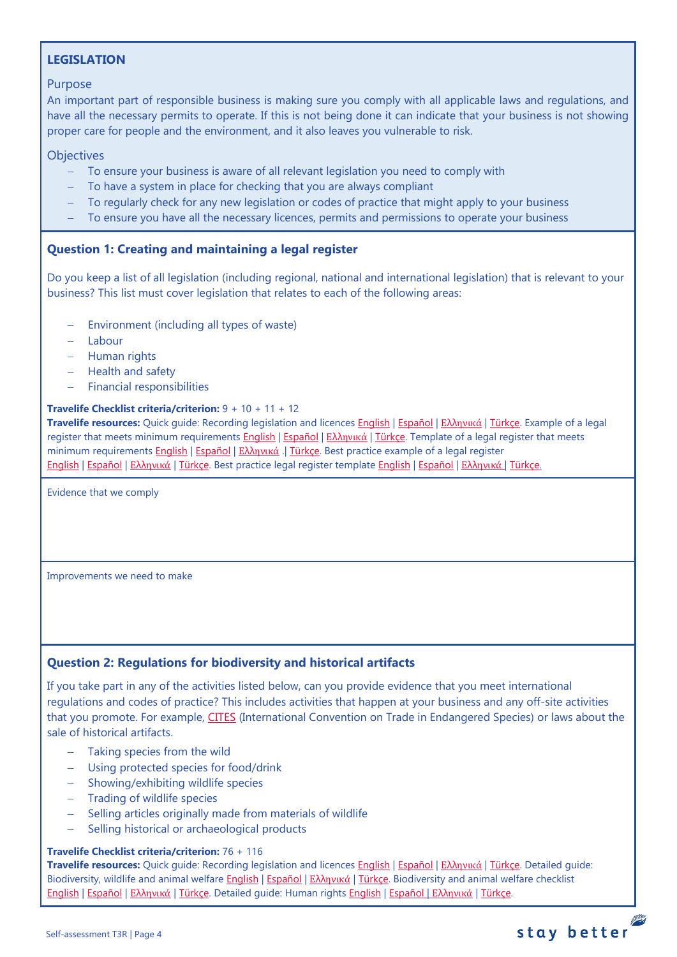## <span id="page-3-0"></span>**LEGISLATION**

## Purpose

An important part of responsible business is making sure you comply with all applicable laws and regulations, and have all the necessary permits to operate. If this is not being done it can indicate that your business is not showing proper care for people and the environment, and it also leaves you vulnerable to risk.

## **Objectives**

- − To ensure your business is aware of all relevant legislation you need to comply with
- To have a system in place for checking that you are always compliant
- − To regularly check for any new legislation or codes of practice that might apply to your business
- − To ensure you have all the necessary licences, permits and permissions to operate your business

## <span id="page-3-1"></span>**Question 1: Creating and maintaining a legal register**

Do you keep a list of all legislation (including regional, national and international legislation) that is relevant to your business? This list must cover legislation that relates to each of the following areas:

- Environment (including all types of waste)
- − Labour
- − Human rights
- − Health and safety
- − Financial responsibilities

## **Travelife Checklist criteria/criterion:** 9 + 10 + 11 + 12

**Travelife resources:** Quick guide: Recording legislation and licences **English | Εspañol | Ελλ[ηνικά](https://travelifestaybetter.com/wp-content/uploads/2020/02/21-Quick-Guide-Recording-Legislation-and-Licenses-GR.pdf) | Türkçe**. Example of a legal register that meets minimum requirements [English](https://travelifestaybetter.com/wp-content/uploads/2019/02/1-Example-Legal-Register-Minimum-Requirements.docx.pdf) | [Español](https://travelifestaybetter.com/wp-content/uploads/2019/02/1-ES-Example-Legal-Register.pdf) | Ελλ[ηνικά](https://travelifestaybetter.com/wp-content/uploads/2020/02/23-Example-Legal-Register-GR.pdf) | [Türkçe.](https://travelifestaybetter.com/wp-content/uploads/2020/12/1-Example-Legal-Register-TR-Ornek-Yasal-Kayit.pdf) Template of a legal register that meets minimum requirements [English](https://travelifestaybetter.com/wp-content/uploads/2019/02/1-Template-Legal-Register-Minimum-Requirements.docx) | Εspañol | Ελλ[ηνικά](https://travelifestaybetter.com/wp-content/uploads/2020/02/22-Template-Legal-Register-Minimum-Requirements-GR.docx) .| [Türkçe.](https://travelifestaybetter.com/wp-content/uploads/2020/12/1-Template-Legal-Register-Minimum-Requirements-TR-Sablon-Yasal-Kayit-Minimum-Gereksinimler.docx) Best practice example of a legal register [English](https://travelifestaybetter.com/wp-content/uploads/2020/12/1-Example-Legal-Register-Excellence-V1.1.pdf) | [Español](https://travelifestaybetter.com/wp-content/uploads/2020/12/1-ES-Example-Legal-Register-Excellence-V1.1.pdf) | Ελλ[ηνικά](https://travelifestaybetter.com/wp-content/uploads/2020/12/1-Example-Legal-Register-Excellence-V1.1-GR.pdf) | [Türkçe.](https://travelifestaybetter.com/wp-content/uploads/2020/12/1-Example-Legal-Register-Excellence-TR-Ornek-Yasal-Kayit-En-iyi-Uygulama.pdf) Best practice legal register template [English](https://travelifestaybetter.com/wp-content/uploads/2019/02/1-Template-Legal-Register-Best-Practice.docx) | [Español](https://travelifestaybetter.com/wp-content/uploads/2019/02/1-ES-Template-Legal-Register-Best-Practice.docx) | Ελλ[ηνικά](https://travelifestaybetter.com/wp-content/uploads/2020/02/24-Template-Legal-Register-Best-Practice-GR.docx) | [Türkçe.](https://travelifestaybetter.com/wp-content/uploads/2020/12/1-Template-Legal-Register-Best-Practice-TR-Sablon-Yasal-Kayit-En-Iyi-Uygulama.docx)

Evidence that we comply

Improvements we need to make

## <span id="page-3-2"></span>**Question 2: Regulations for biodiversity and historical artifacts**

If you take part in any of the activities listed below, can you provide evidence that you meet international regulations and codes of practice? This includes activities that happen at your business and any off-site activities that you promote. For example, [CITES](https://cites.org/) (International Convention on Trade in Endangered Species) or laws about the sale of historical artifacts.

- − Taking species from the wild
- − Using protected species for food/drink
- − Showing/exhibiting wildlife species
- − Trading of wildlife species
- − Selling articles originally made from materials of wildlife
- − Selling historical or archaeological products

## **Travelife Checklist criteria/criterion:** 76 + 116

**Travelife resources:** Quick guide: Recording legislation and licences [English](https://travelifestaybetter.com/wp-content/uploads/2019/02/1-Quick-Guide-Recording-Legislation-and-Licenses.pdf) | [Español](https://travelifestaybetter.com/wp-content/uploads/2019/02/1-ES-Quick-Guide-Recording-Legislation-and-Licenses.pdf) | Ελλ[ηνικά](https://travelifestaybetter.com/wp-content/uploads/2020/02/21-Quick-Guide-Recording-Legislation-and-Licenses-GR.pdf) | [Türkçe.](https://travelifestaybetter.com/wp-content/uploads/2020/12/1-Quick-Guide-Recording-Legislation-and-Licenses-TR-Hizli-Kilavuz-Mevzuat-ve-Lisanslarin-Kayit-Edilmesi.pdf) Detailed guide: Biodiversity, wildlife and animal welfare [English](https://travelifestaybetter.com/wp-content/uploads/2021/01/21-Detailed-Guided-Biodiversity-and-Animal-Welfare-V2.0.pdf) | [Español](https://travelifestaybetter.com/wp-content/uploads/2021/01/21-ES-Detailed-Guided-Biodiversity-and-Animal-Welfare-V2.0.pdf) | Ελλ[ηνικά](https://travelifestaybetter.com/wp-content/uploads/2021/01/21-GR-Detailed-Guided-Biodiversity-and-Animal-Welfare.pdf) | [Türkçe.](https://travelifestaybetter.com/wp-content/uploads/2021/01/21-Detailed-Guided-Biodiversity-and-Animal-Welfare-V2.0-TR-Biyocesitlilik-ve-Hayvan-Refahi-Detayli-Kilavuz.pdf) Biodiversity and animal welfare checklist [English](https://travelifestaybetter.com/wp-content/uploads/2020/11/21-Biodiversity-and-Animal-Welfare-Checklist-V2.0.docx) | [Español](https://travelifestaybetter.com/wp-content/uploads/2020/11/21-ES-Biodiversity-and-Animal-Welfare-Checklist-V2.0.docx) | Ελλ[ηνικά](https://travelifestaybetter.com/wp-content/uploads/2021/01/21-GR-Biodiversity-and-Animal-Welfare-Checklist.docx) | [Türkçe.](https://travelifestaybetter.com/wp-content/uploads/2020/10/21-Biodiversity-and-Animal-Welfare-Checklist-July-2021-TR-Biyocesitlilik-ve-Hayvan-Refahi-Kontrol-Listesi.docx) Detailed guide: Human rights [English](https://travelifestaybetter.com/wp-content/uploads/2021/01/8-Detailed-Guide-Human-Rights.pdf) | [Español](https://travelifestaybetter.com/wp-content/uploads/2021/01/8-ES-Detailed-Guide-Human-Rights.pdf) | Ελλ[ηνικά](https://travelifestaybetter.com/wp-content/uploads/2021/01/8-GR-Detailed-Guide-Human-Rights.pdf) | [Türkçe.](https://travelifestaybetter.com/wp-content/uploads/2021/01/8-Detailed-Guide-Human-Rights-TR-Insan-Haklari-Detayli-Kilavuz.pdf)

## stay better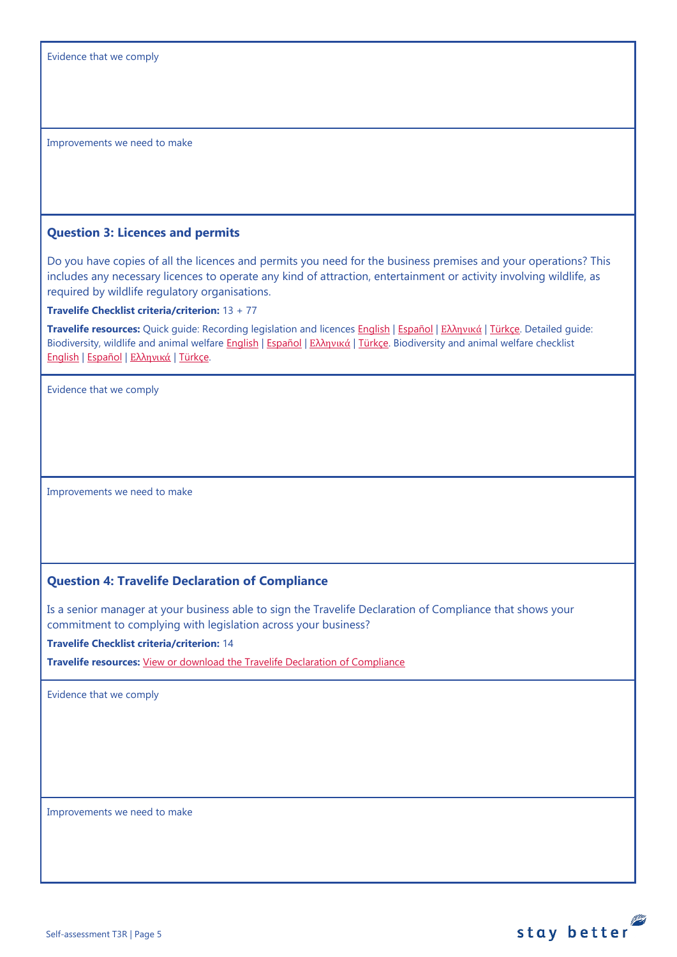#### <span id="page-4-0"></span>**Question 3: Licences and permits**

Do you have copies of all the licences and permits you need for the business premises and your operations? This includes any necessary licences to operate any kind of attraction, entertainment or activity involving wildlife, as required by wildlife regulatory organisations.

**Travelife Checklist criteria/criterion:** 13 + 77

**Travelife resources:** Quick guide: Recording legislation and licences [English](https://travelifestaybetter.com/wp-content/uploads/2019/02/1-Quick-Guide-Recording-Legislation-and-Licenses.pdf) | [Español](https://travelifestaybetter.com/wp-content/uploads/2019/02/1-ES-Quick-Guide-Recording-Legislation-and-Licenses.pdf) | Ελλ[ηνικά](https://travelifestaybetter.com/wp-content/uploads/2020/02/21-Quick-Guide-Recording-Legislation-and-Licenses-GR.pdf) | [Türkçe.](https://travelifestaybetter.com/wp-content/uploads/2020/12/1-Quick-Guide-Recording-Legislation-and-Licenses-TR-Hizli-Kilavuz-Mevzuat-ve-Lisanslarin-Kayit-Edilmesi.pdf) Detailed guide: Biodiversity, wildlife and animal welfare [English](https://travelifestaybetter.com/wp-content/uploads/2021/01/21-Detailed-Guided-Biodiversity-and-Animal-Welfare-V2.0.pdf) | [Español](https://travelifestaybetter.com/wp-content/uploads/2021/01/21-ES-Detailed-Guided-Biodiversity-and-Animal-Welfare-V2.0.pdf) | Ελλ[ηνικά](https://travelifestaybetter.com/wp-content/uploads/2021/01/21-GR-Detailed-Guided-Biodiversity-and-Animal-Welfare.pdf) | [Türkçe.](https://travelifestaybetter.com/wp-content/uploads/2021/01/21-Detailed-Guided-Biodiversity-and-Animal-Welfare-V2.0-TR-Biyocesitlilik-ve-Hayvan-Refahi-Detayli-Kilavuz.pdf) Biodiversity and animal welfare checklist [English](https://travelifestaybetter.com/wp-content/uploads/2020/11/21-Biodiversity-and-Animal-Welfare-Checklist-V2.0.docx) | [Español](https://travelifestaybetter.com/wp-content/uploads/2020/11/21-ES-Biodiversity-and-Animal-Welfare-Checklist-V2.0.docx) | Ελλ[ηνικά](https://travelifestaybetter.com/wp-content/uploads/2021/01/21-GR-Biodiversity-and-Animal-Welfare-Checklist.docx) | [Türkçe.](https://travelifestaybetter.com/wp-content/uploads/2020/10/21-Biodiversity-and-Animal-Welfare-Checklist-July-2021-TR-Biyocesitlilik-ve-Hayvan-Refahi-Kontrol-Listesi.docx)

Evidence that we comply

Improvements we need to make

## <span id="page-4-1"></span>**Question 4: Travelife Declaration of Compliance**

Is a senior manager at your business able to sign the Travelife Declaration of Compliance that shows your commitment to complying with legislation across your business?

**Travelife Checklist criteria/criterion:** 14

**Travelife resources:** [View or download the Travelife Declaration of Compliance](https://travelifestaybetter.com/wp-content/uploads/2019/02/Travelife-Declaration-of-Compliance.docx) 

Evidence that we comply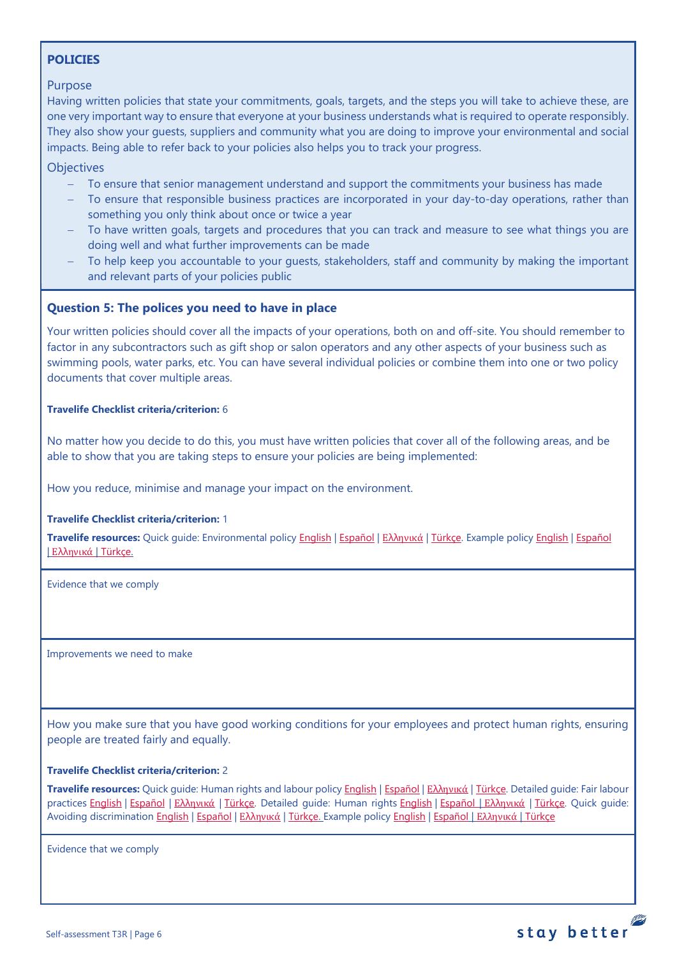## <span id="page-5-0"></span>**POLICIES**

## Purpose

Having written policies that state your commitments, goals, targets, and the steps you will take to achieve these, are one very important way to ensure that everyone at your business understands what is required to operate responsibly. They also show your guests, suppliers and community what you are doing to improve your environmental and social impacts. Being able to refer back to your policies also helps you to track your progress.

**Objectives** 

- − To ensure that senior management understand and support the commitments your business has made
- To ensure that responsible business practices are incorporated in your day-to-day operations, rather than something you only think about once or twice a year
- To have written goals, targets and procedures that you can track and measure to see what things you are doing well and what further improvements can be made
- To help keep you accountable to your guests, stakeholders, staff and community by making the important and relevant parts of your policies public

## <span id="page-5-1"></span>**Question 5: The polices you need to have in place**

Your written policies should cover all the impacts of your operations, both on and off-site. You should remember to factor in any subcontractors such as gift shop or salon operators and any other aspects of your business such as swimming pools, water parks, etc. You can have several individual policies or combine them into one or two policy documents that cover multiple areas.

#### **Travelife Checklist criteria/criterion:** 6

No matter how you decide to do this, you must have written policies that cover all of the following areas, and be able to show that you are taking steps to ensure your policies are being implemented:

How you reduce, minimise and manage your impact on the environment.

#### **Travelife Checklist criteria/criterion:** 1

**Travelife resources:** Quick guide: Environmental policy [English](https://travelifestaybetter.com/wp-content/uploads/2019/02/3-Quick-Guide-Environmental-Policy.pdf) | [Español](https://travelifestaybetter.com/wp-content/uploads/2019/02/3-ES-Quick-Guide-Environmental-Policy.pdf) | Ελλ[ηνικά](https://travelifestaybetter.com/wp-content/uploads/2020/02/30-Quick-Guide-Environmental-Policy-GR.pdf) | [Türkçe.](https://travelifestaybetter.com/wp-content/uploads/2020/12/3-Quick-Guide-Environmental-Policy-TR-Hizli-Kilavuz-Cevre-Politikasi.pdf) Example polic[y English](https://travelifestaybetter.com/wp-content/uploads/2019/02/3-Example-Environmental-Policy.pdf) | [Español](https://travelifestaybetter.com/wp-content/uploads/2019/02/3-ES-Example-Environmental-Policy.pdf) | Ελλ[ηνικά](https://travelifestaybetter.com/wp-content/uploads/2020/07/31-Example-Environmental-Policy-GR.pdf) | [Türkçe.](https://travelifestaybetter.com/wp-content/uploads/2020/12/3-Example-Environmental-Policy-TR-Ornek-Cevre-Politikasi.pdf)

Evidence that we comply

Improvements we need to make

How you make sure that you have good working conditions for your employees and protect human rights, ensuring people are treated fairly and equally.

#### **Travelife Checklist criteria/criterion:** 2

**Travelife resources:** Quick guide: Human rights and labour policy [English](https://travelifestaybetter.com/wp-content/uploads/2019/02/8-Quick-Guide-Labour-and-Human-Rights-Policy.pdf) | [Español](https://travelifestaybetter.com/wp-content/uploads/2019/02/8-ES-Quick-Guide-Labour-and-Human-Rights-Policy.pdf) | Ελλ[ηνικά](https://travelifestaybetter.com/wp-content/uploads/2020/07/35-Quick-Guide-Labour-and-Human-Rights-Policy-GR.pdf) | [Türkçe.](https://travelifestaybetter.com/wp-content/uploads/2020/08/8-Quick-Guide-Labour-and-Human-Rights-Policy-TR-8-Hizli-Kilavuz-Isci-ve-Insan-Haklari-Politikasi.pdf) Detailed guide: Fair labour practices [English](https://travelifestaybetter.com/wp-content/uploads/2021/01/8-Detailed-Guide-Human-Rights.pdf) | [Español](https://travelifestaybetter.com/wp-content/uploads/2021/01/8-ES-Detailed-Guide-Human-Rights.pdf) | Ελλ[ηνικά](https://travelifestaybetter.com/wp-content/uploads/2021/01/8-GR-Detailed-Guide-Human-Rights.pdf) | [Türkçe.](https://travelifestaybetter.com/wp-content/uploads/2021/01/10-Detailed-Guide-Fair-Labour-Practices-TR-Adil-Is-Gucu-Uygulamalari-Detayli-Kilavuz.pdf) Detailed guide: Human rights English | Εspañol | Ελληνικά | [Türkçe.](https://travelifestaybetter.com/wp-content/uploads/2021/01/8-Detailed-Guide-Human-Rights-TR-Insan-Haklari-Detayli-Kilavuz.pdf) Quick guide: Avoiding discriminatio[n English](https://travelifestaybetter.com/wp-content/uploads/2019/02/13-Quick-Guide-Avoiding-Workplace-Discrimination.pdf) | [Español](https://travelifestaybetter.com/wp-content/uploads/2019/02/13-ES-Quick-Guide-Avoiding-Workplace-Discrimination.pdf) | Ελλ[ηνικά](https://travelifestaybetter.com/wp-content/uploads/2020/07/38-Quick-Guide-Avoiding-Workplace-Discrimination-GR.pdf) | [Türkçe.](https://travelifestaybetter.com/wp-content/uploads/2020/10/13-Quick-Guide-Avoiding-Workplace-Discrimination-TR-Isyerinde-Ayrimciligi-Onlemek-icin-Hizli-Kilavuz.pdf) Example policy [English](https://travelifestaybetter.com/wp-content/uploads/2021/06/10-Example-Labour-and-Human-Rights-Policy.pdf) | [Español](https://travelifestaybetter.com/wp-content/uploads/2021/06/8-ES-Example-Labour-Human-Rights-Policy.pdf) | [Ελληνικά](https://travelifestaybetter.com/wp-content/uploads/2021/08/10-Example-Labour-and-Human-Rights-Policy-GR.pdf) | [Türkçe](https://travelifestaybetter.com/wp-content/uploads/2021/06/10-Example-Labour-and-Human-Rights-Policy-TR-Ornek-Calisan-ve-Insan-Haklari-Politikasi.pdf)

Evidence that we comply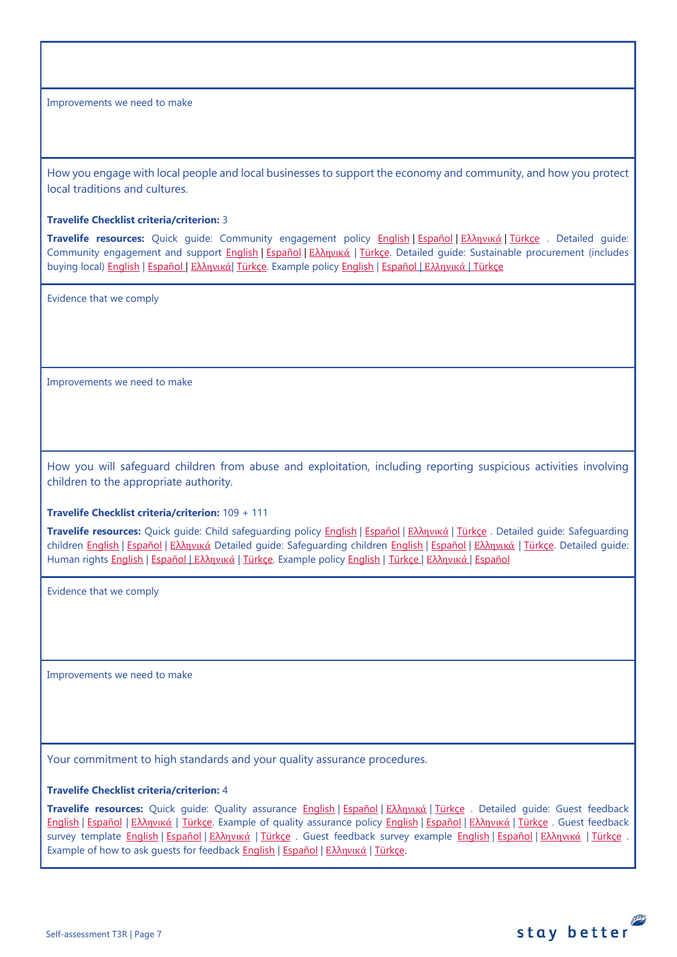How you engage with local people and local businesses to support the economy and community, and how you protect local traditions and cultures.

#### **Travelife Checklist criteria/criterion:** 3

**Travelife resources:** Quick guide: Community engagement policy [English](https://travelifestaybetter.com/wp-content/uploads/2019/02/7-Quick-Guide-Community-Engagement.pdf) | [Español](https://travelifestaybetter.com/wp-content/uploads/2019/02/7-ES-Quick-Guide-Community-Engagement.pdf) | Ελλ[ηνικά](https://travelifestaybetter.com/wp-content/uploads/2020/07/34-Quick-Guide-Community-Engagement-GR.pdf) | [Türkçe](https://travelifestaybetter.com/wp-content/uploads/2020/08/7-Quick-Guide-Community-Engagement-TR-7-Hizli-Kilavuz-Toplum-Uyum-Politikasi.pdf) . Detailed guide: Community engagement and support [English](https://travelifestaybetter.com/wp-content/uploads/2019/02/7-Detailed-Guide-Community-Engagement.pdf) | Εspañol | Ελλ[ηνικά](https://travelifestaybetter.com/wp-content/uploads/2020/11/7-GR-Detailed-Guide-Community-Engagement.pdf) | [Türkçe.](https://travelifestaybetter.com/wp-content/uploads/2021/01/7-Detailed-Guide-Community-Engagement-TR-Toplum-Katilimi-ve-Destegi-Detayli-Kilavuz.pdf) Detailed guide: Sustainable procurement (includes buying local[\) English](https://travelifestaybetter.com/wp-content/uploads/2019/02/22-Detailed-Guide-Sustainable-Procurement.pdf) | [Español](https://travelifestaybetter.com/wp-content/uploads/2019/03/22-ES-Detailed-Guide-Sustainable-Procurement.pdf) | Ελλ[ηνικά](https://travelifestaybetter.com/wp-content/uploads/2021/01/22-GR-Detailed-Guide-Sustainable-Procurement.pdf)| [Türkçe.](https://travelifestaybetter.com/wp-content/uploads/2021/01/22-Detailed-Guide-Sustainable-Procurement-TR-Surdurulebilir-Tedarik-Detayli-Kilavuz.pdf) Example polic[y English](https://travelifestaybetter.com/wp-content/uploads/2021/06/7-Example-Community-engagement-Policy.pdf) | [Español](https://travelifestaybetter.com/wp-content/uploads/2021/06/7-ES-Example-Community-Engagement-Policy.pdf) | [Ελληνικά](https://travelifestaybetter.com/wp-content/uploads/2021/08/7-Example-Community-engagement-policy-GR.pdf) | [Türkçe](https://travelifestaybetter.com/wp-content/uploads/2021/06/7-Example-Community-engagement-Policy-TR-Ornek-Toplum-Uyum-Politikasi.pdf)

Evidence that we comply

Improvements we need to make

How you will safeguard children from abuse and exploitation, including reporting suspicious activities involving children to the appropriate authority.

#### **Travelife Checklist criteria/criterion:** 109 + 111

**Travelife resources:** Quick guide: Child safeguarding policy [English](https://travelifestaybetter.com/wp-content/uploads/2020/06/14-Quick-Guide-Child-Safeguarding.pdf) | [Español](https://travelifestaybetter.com/wp-content/uploads/2019/02/14-ES-Quick-Guide-Safeguarding-Children.pdf) | Ελλ[ηνικά](https://travelifestaybetter.com/wp-content/uploads/2020/07/39-Quick-Guide-Child-Safeguarding-GR.pdf) | [Türkçe](https://travelifestaybetter.com/wp-content/uploads/2020/10/14-Quick-Guide-Child-Safeguarding-TR-Cocuklarin-Korunmasi-icin-Hizli-Kilavuz.pdf) . Detailed guide: Safeguarding children [English](https://travelifestaybetter.com/wp-content/uploads/2019/02/14-Detailed-Guide-Safeguarding-Children.pdf) | Εspañol | Ελλ[ηνικά](https://travelifestaybetter.com/wp-content/uploads/2020/11/14-GR-Detailed-Guide-Safeguarding-Children.pdf) Detailed guide: Safeguarding children English | Εspañol | Ελληνικά | [Türkçe.](https://travelifestaybetter.com/wp-content/uploads/2021/01/14-Detailed-Guide-Safeguarding-Children-TR-Cocuklari-Koruma-Detayli-Kilavuz.pdf) Detailed guide: Human rights [English](https://travelifestaybetter.com/wp-content/uploads/2021/01/8-Detailed-Guide-Human-Rights.pdf) | [Español](https://travelifestaybetter.com/wp-content/uploads/2021/08/14-ES-Example-Child-Safeguarding-Policy.pdf) | Ελλ[ηνικά](https://travelifestaybetter.com/wp-content/uploads/2021/08/14-Example-Child-Safeguarding-Policy-GR.pdf) | [Türkçe.](https://travelifestaybetter.com/wp-content/uploads/2021/01/8-Detailed-Guide-Human-Rights-TR-Insan-Haklari-Detayli-Kilavuz.pdf) Example policy [English](https://travelifestaybetter.com/wp-content/uploads/2021/08/14-Example-Child-Safeguarding-Policy.pdf) | [Türkçe](https://travelifestaybetter.com/wp-content/uploads/2021/08/14-Example-Child-Safeguarding-Policy-TR-14-Ornek-Cocuk-Koruma-Politikasi.pdf) | Ελληνικά | Español

Evidence that we comply

Improvements we need to make

Your commitment to high standards and your quality assurance procedures.

#### **Travelife Checklist criteria/criterion:** 4

**Travelife resources:** Quick guide: Quality assurance [English](https://travelifestaybetter.com/wp-content/uploads/2019/02/4-Quick-Guide-Quality-Assurance.pdf) | [Español](https://travelifestaybetter.com/wp-content/uploads/2019/02/4-ES-Quick-Guide-Quality-Assurance.pdf) | Ελλ[ηνικά](https://travelifestaybetter.com/wp-content/uploads/2020/07/32-Quick-Guide-Quality-Assurance-GR.pdf) | [Türkçe](https://travelifestaybetter.com/wp-content/uploads/2020/11/4-Quick-Guide-Quality-Assurance-TR-4-Hizli-Kilavuz-Kalite-Guvence.pdf) . Detailed guide: Guest feedback [English](https://travelifestaybetter.com/wp-content/uploads/2019/02/5-Detailed-Guide-Collecting-Guest-Feedback.pdf) | [Español](https://travelifestaybetter.com/wp-content/uploads/2019/02/5-ES-Detailed-Guide-Collecting-Guest-Feedback.pdf) | Ελλ[ηνικά](https://travelifestaybetter.com/wp-content/uploads/2021/01/5-GR-Detailed-Guide-Collecting-Guest-Feedback.pdf) | [Türkçe.](https://travelifestaybetter.com/wp-content/uploads/2021/01/5-Detailed-Guide-Collecting-Guest-Feedback-TR-Misafir-Geri-Bildirimlerini-Toplama-Detayli-Kilavuz.pdf) Example of quality assurance policy [English](https://travelifestaybetter.com/wp-content/uploads/2019/02/4-Example-Quality-Assurance-Policy.pdf) | [Español](https://travelifestaybetter.com/wp-content/uploads/2019/02/4-ES-Example-Quality-Assurance-Policy.pdf) | Ελλ[ηνικά](https://travelifestaybetter.com/wp-content/uploads/2020/07/33-Example-Quality-Assurance-Policy-GR.pdf) | [Türkçe](https://travelifestaybetter.com/wp-content/uploads/2020/08/4-Example-Quality-Assurance-Policy-TR-4-Ornek-Kalite-Guvence-Politikasi.pdf) . Guest feedback survey template [English](https://travelifestaybetter.com/wp-content/uploads/2019/02/5-Example-Guest-Feedback-Survey.pdf) | Εspañol | Ελλ[ηνικά](https://travelifestaybetter.com/wp-content/uploads/2021/01/5-GR-Example-Guest-Feedback-Survey.pdf) | [Türkçe](https://travelifestaybetter.com/wp-content/uploads/2020/08/5-Example-Guest-Feedback-Survey-TR-5-Ornek-Misafir-Geri-Bildirim-Anketi.pdf) . Guest feedback survey example English | Εspañol | Ελληνικά | Türkçe . Example of how to ask guests for feedback [English](https://travelifestaybetter.com/wp-content/uploads/2019/02/5-Example-of-Feedback-Insructions-for-Guests.pdf) | [Español](https://travelifestaybetter.com/wp-content/uploads/2019/02/5-ES-Example-Guest-Feedback-Instructions-for-Guests.pdf) | Ελλ[ηνικά](https://travelifestaybetter.com/wp-content/uploads/2021/01/5-GR-Example-of-Feedback-Instructions-for-Guests.pdf) | [Türkçe.](https://travelifestaybetter.com/wp-content/uploads/2020/08/5-Example-of-Feedback-Insructions-for-Guests-TR-5-Ornek-Misafir-Geri-Bildirim-Talimati.pdf)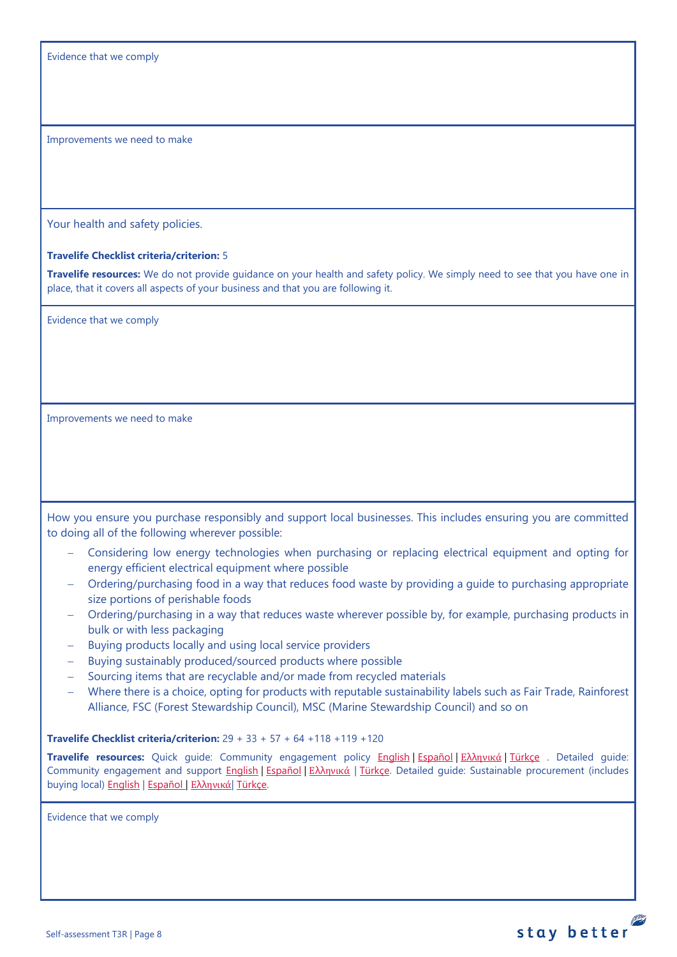Evidence that we comply

Improvements we need to make

Your health and safety policies.

#### **Travelife Checklist criteria/criterion:** 5

**Travelife resources:** We do not provide guidance on your health and safety policy. We simply need to see that you have one in place, that it covers all aspects of your business and that you are following it.

Evidence that we comply

Improvements we need to make

How you ensure you purchase responsibly and support local businesses. This includes ensuring you are committed to doing all of the following wherever possible:

- − Considering low energy technologies when purchasing or replacing electrical equipment and opting for energy efficient electrical equipment where possible
- − Ordering/purchasing food in a way that reduces food waste by providing a guide to purchasing appropriate size portions of perishable foods
- − Ordering/purchasing in a way that reduces waste wherever possible by, for example, purchasing products in bulk or with less packaging
- − Buying products locally and using local service providers
- − Buying sustainably produced/sourced products where possible
- − Sourcing items that are recyclable and/or made from recycled materials
- − Where there is a choice, opting for products with reputable sustainability labels such as Fair Trade, Rainforest Alliance, FSC (Forest Stewardship Council), MSC (Marine Stewardship Council) and so on

**Travelife Checklist criteria/criterion:** 29 + 33 + 57 + 64 +118 +119 +120

**Travelife resources:** Quick guide: Community engagement policy [English](https://travelifestaybetter.com/wp-content/uploads/2019/02/7-Quick-Guide-Community-Engagement.pdf) | [Español](https://travelifestaybetter.com/wp-content/uploads/2019/02/7-ES-Quick-Guide-Community-Engagement.pdf) | Ελλ[ηνικά](https://travelifestaybetter.com/wp-content/uploads/2020/07/34-Quick-Guide-Community-Engagement-GR.pdf) | [Türkçe](https://travelifestaybetter.com/wp-content/uploads/2020/08/7-Quick-Guide-Community-Engagement-TR-7-Hizli-Kilavuz-Toplum-Uyum-Politikasi.pdf) . Detailed guide: Community engagement and support [English](https://travelifestaybetter.com/wp-content/uploads/2019/02/7-Detailed-Guide-Community-Engagement.pdf) | [Español](https://travelifestaybetter.com/wp-content/uploads/2019/02/7-ES-Detailed-Guide-Community-Engagement.pdf) | Ελλ[ηνικά](https://travelifestaybetter.com/wp-content/uploads/2020/11/7-GR-Detailed-Guide-Community-Engagement.pdf) | Türkce. Detailed guide: Sustainable procurement (includes buying local[\) English](https://travelifestaybetter.com/wp-content/uploads/2019/02/22-Detailed-Guide-Sustainable-Procurement.pdf) | [Español](https://travelifestaybetter.com/wp-content/uploads/2019/03/22-ES-Detailed-Guide-Sustainable-Procurement.pdf) | Ελλ[ηνικά](https://travelifestaybetter.com/wp-content/uploads/2021/01/22-GR-Detailed-Guide-Sustainable-Procurement.pdf)| [Türkçe.](https://travelifestaybetter.com/wp-content/uploads/2021/01/22-Detailed-Guide-Sustainable-Procurement-TR-Surdurulebilir-Tedarik-Detayli-Kilavuz.pdf)

stay better

Evidence that we comply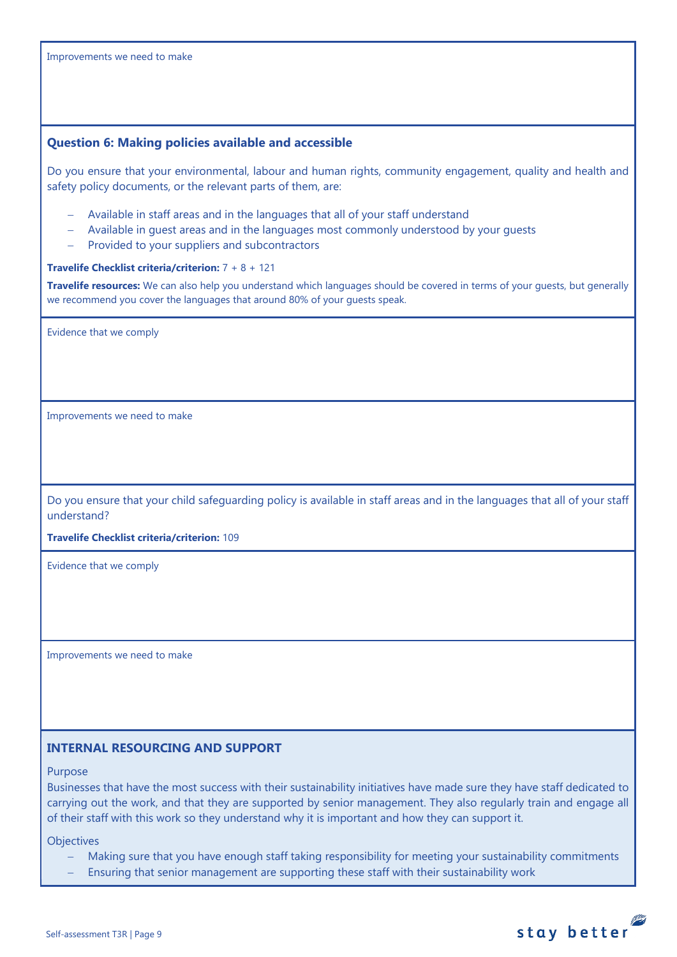<span id="page-8-0"></span>

| Improvements we need to make                                                                                                                                                                                                                                                                                                                      |
|---------------------------------------------------------------------------------------------------------------------------------------------------------------------------------------------------------------------------------------------------------------------------------------------------------------------------------------------------|
|                                                                                                                                                                                                                                                                                                                                                   |
|                                                                                                                                                                                                                                                                                                                                                   |
| <b>Question 6: Making policies available and accessible</b>                                                                                                                                                                                                                                                                                       |
| Do you ensure that your environmental, labour and human rights, community engagement, quality and health and<br>safety policy documents, or the relevant parts of them, are:                                                                                                                                                                      |
| Available in staff areas and in the languages that all of your staff understand<br>Available in quest areas and in the languages most commonly understood by your quests<br>Provided to your suppliers and subcontractors                                                                                                                         |
| <b>Travelife Checklist criteria/criterion:</b> $7 + 8 + 121$                                                                                                                                                                                                                                                                                      |
| Travelife resources: We can also help you understand which languages should be covered in terms of your guests, but generally<br>we recommend you cover the languages that around 80% of your guests speak.                                                                                                                                       |
| Evidence that we comply                                                                                                                                                                                                                                                                                                                           |
|                                                                                                                                                                                                                                                                                                                                                   |
| Improvements we need to make                                                                                                                                                                                                                                                                                                                      |
|                                                                                                                                                                                                                                                                                                                                                   |
|                                                                                                                                                                                                                                                                                                                                                   |
|                                                                                                                                                                                                                                                                                                                                                   |
| Do you ensure that your child safeguarding policy is available in staff areas and in the languages that all of your staff<br>understand?                                                                                                                                                                                                          |
| Travelife Checklist criteria/criterion: 109                                                                                                                                                                                                                                                                                                       |
| Evidence that we comply                                                                                                                                                                                                                                                                                                                           |
|                                                                                                                                                                                                                                                                                                                                                   |
|                                                                                                                                                                                                                                                                                                                                                   |
| Improvements we need to make                                                                                                                                                                                                                                                                                                                      |
|                                                                                                                                                                                                                                                                                                                                                   |
|                                                                                                                                                                                                                                                                                                                                                   |
| <b>INTERNAL RESOURCING AND SUPPORT</b>                                                                                                                                                                                                                                                                                                            |
| Purpose                                                                                                                                                                                                                                                                                                                                           |
| Businesses that have the most success with their sustainability initiatives have made sure they have staff dedicated to<br>carrying out the work, and that they are supported by senior management. They also regularly train and engage all<br>of their staff with this work so they understand why it is important and how they can support it. |

<span id="page-8-1"></span>**Objectives** 

− Making sure that you have enough staff taking responsibility for meeting your sustainability commitments

stay better

− Ensuring that senior management are supporting these staff with their sustainability work

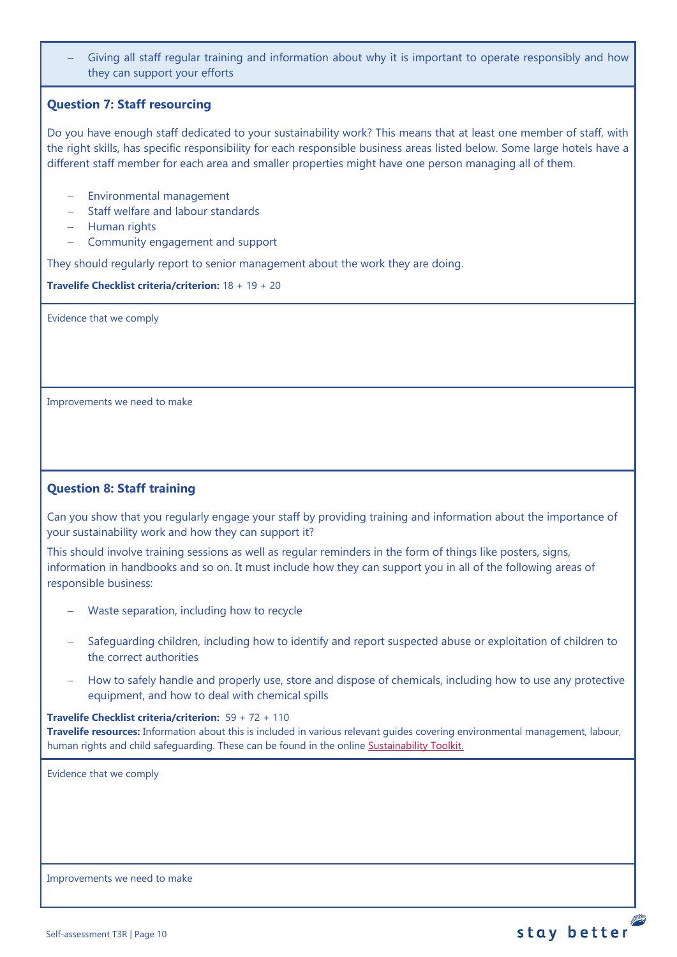Giving all staff regular training and information about why it is important to operate responsibly and how they can support your efforts

## <span id="page-9-0"></span>**Question 7: Staff resourcing**

Do you have enough staff dedicated to your sustainability work? This means that at least one member of staff, with the right skills, has specific responsibility for each responsible business areas listed below. Some large hotels have a different staff member for each area and smaller properties might have one person managing all of them.

- − Environmental management
- − Staff welfare and labour standards
- − Human rights
- − Community engagement and support

They should regularly report to senior management about the work they are doing.

**Travelife Checklist criteria/criterion:** 18 + 19 + 20

Evidence that we comply

Improvements we need to make

## <span id="page-9-1"></span>**Question 8: Staff training**

Can you show that you regularly engage your staff by providing training and information about the importance of your sustainability work and how they can support it?

This should involve training sessions as well as regular reminders in the form of things like posters, signs, information in handbooks and so on. It must include how they can support you in all of the following areas of responsible business:

- − Waste separation, including how to recycle
- − Safeguarding children, including how to identify and report suspected abuse or exploitation of children to the correct authorities
- How to safely handle and properly use, store and dispose of chemicals, including how to use any protective equipment, and how to deal with chemical spills

#### **Travelife Checklist criteria/criterion:** 59 + 72 + 110

**Travelife resources:** Information about this is included in various relevant guides covering environmental management, labour, human rights and child safeguarding. These can be found in the online [Sustainability Toolkit.](https://travelifestaybetter.com/accommodation-member-zone/)

Evidence that we comply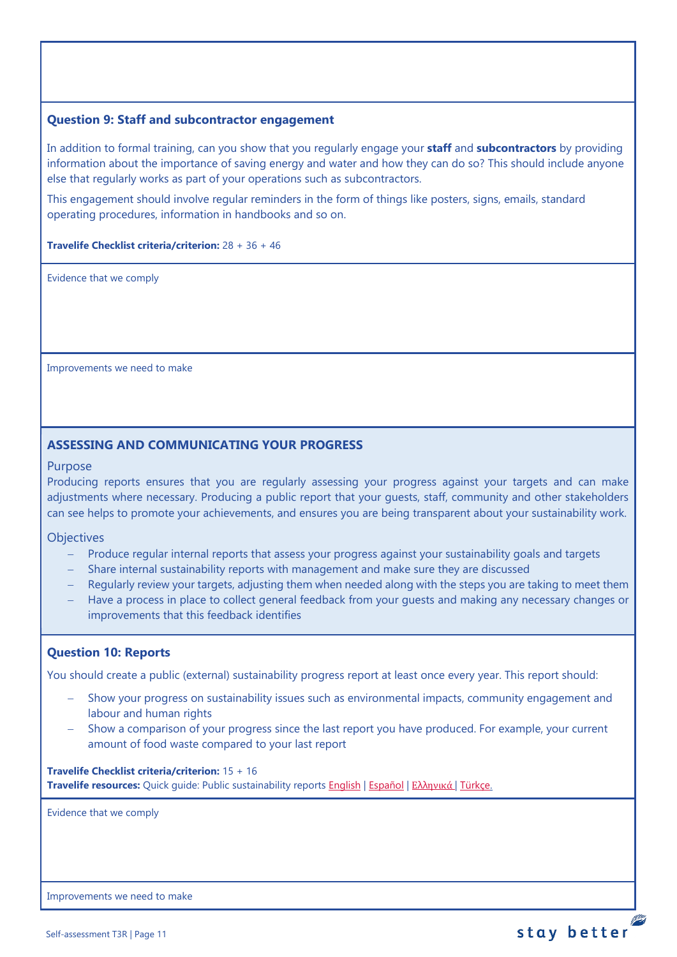## <span id="page-10-0"></span>**Question 9: Staff and subcontractor engagement**

In addition to formal training, can you show that you regularly engage your **staff** and **subcontractors** by providing information about the importance of saving energy and water and how they can do so? This should include anyone else that regularly works as part of your operations such as subcontractors.

This engagement should involve regular reminders in the form of things like posters, signs, emails, standard operating procedures, information in handbooks and so on.

#### **Travelife Checklist criteria/criterion:** 28 + 36 + 46

Evidence that we comply

Improvements we need to make

## **ASSESSING AND COMMUNICATING YOUR PROGRESS**

#### Purpose

Producing reports ensures that you are regularly assessing your progress against your targets and can make adjustments where necessary. Producing a public report that your guests, staff, community and other stakeholders can see helps to promote your achievements, and ensures you are being transparent about your sustainability work.

**Objectives** 

- − Produce regular internal reports that assess your progress against your sustainability goals and targets
- − Share internal sustainability reports with management and make sure they are discussed
- − Regularly review your targets, adjusting them when needed along with the steps you are taking to meet them
- Have a process in place to collect general feedback from your guests and making any necessary changes or improvements that this feedback identifies

## <span id="page-10-1"></span>**Question 10: Reports**

You should create a public (external) sustainability progress report at least once every year. This report should:

- Show your progress on sustainability issues such as environmental impacts, community engagement and labour and human rights
- Show a comparison of your progress since the last report you have produced. For example, your current amount of food waste compared to your last report

**Travelife Checklist criteria/criterion:** 15 + 16 **Travelife resources:** Quick guide: Public sustainability reports [English](https://travelifestaybetter.com/wp-content/uploads/2020/12/2-Quick-Guide-Public-Sustinability-Report-V1.1.pdf) | [Español](https://travelifestaybetter.com/wp-content/uploads/2020/12/2-ES-Quick-Guide-Public-Sustinability-Report-V1.1.pdf) | Ελλ[ηνικά](https://travelifestaybetter.com/wp-content/uploads/2020/12/3-Quick-Guide-Public-Sustinability-Report-V1.1-GR.pdf) [| Türkçe.](https://travelifestaybetter.com/wp-content/uploads/2020/12/2-Quick-Guide-Public-Sustinability-Report-TR-Hizli-Kilavuz-Sirket-Disi-Surdurulebilirlik-Raporu.pdf)

Evidence that we comply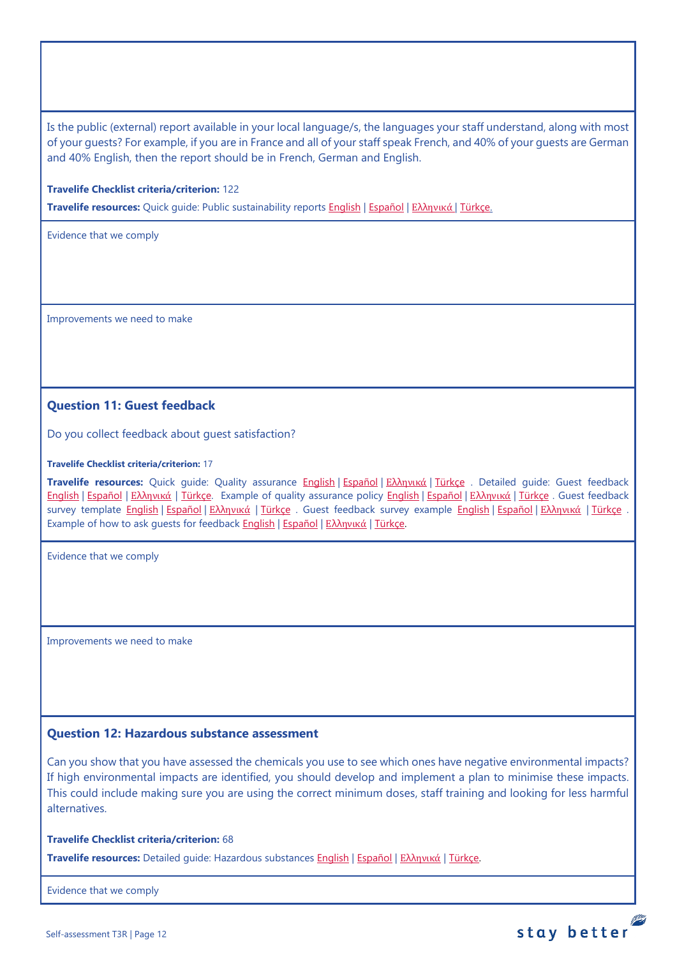Is the public (external) report available in your local language/s, the languages your staff understand, along with most of your guests? For example, if you are in France and all of your staff speak French, and 40% of your guests are German and 40% English, then the report should be in French, German and English.

**Travelife Checklist criteria/criterion:** 122

**Travelife resources:** Quick guide: Public sustainability reports [English](https://travelifestaybetter.com/wp-content/uploads/2020/12/2-Quick-Guide-Public-Sustinability-Report-V1.1.pdf) | [Español](https://travelifestaybetter.com/wp-content/uploads/2020/12/2-ES-Quick-Guide-Public-Sustinability-Report-V1.1.pdf) | Ελλ[ηνικά](https://travelifestaybetter.com/wp-content/uploads/2020/12/3-Quick-Guide-Public-Sustinability-Report-V1.1-GR.pdf) [| Türkçe.](https://travelifestaybetter.com/wp-content/uploads/2020/12/2-Quick-Guide-Public-Sustinability-Report-TR-Hizli-Kilavuz-Sirket-Disi-Surdurulebilirlik-Raporu.pdf)

Evidence that we comply

Improvements we need to make

## <span id="page-11-0"></span>**Question 11: Guest feedback**

Do you collect feedback about guest satisfaction?

#### **Travelife Checklist criteria/criterion:** 17

**Travelife resources:** Quick guide: Quality assurance [English](https://travelifestaybetter.com/wp-content/uploads/2019/02/4-Quick-Guide-Quality-Assurance.pdf) | [Español](https://travelifestaybetter.com/wp-content/uploads/2019/02/4-ES-Quick-Guide-Quality-Assurance.pdf) | Ελλ[ηνικά](https://travelifestaybetter.com/wp-content/uploads/2020/07/32-Quick-Guide-Quality-Assurance-GR.pdf) | [Türkçe](https://travelifestaybetter.com/wp-content/uploads/2020/11/4-Quick-Guide-Quality-Assurance-TR-4-Hizli-Kilavuz-Kalite-Guvence.pdf) . Detailed guide: Guest feedback [English](https://travelifestaybetter.com/wp-content/uploads/2019/02/5-Detailed-Guide-Collecting-Guest-Feedback.pdf) | [Español](https://travelifestaybetter.com/wp-content/uploads/2019/02/5-ES-Detailed-Guide-Collecting-Guest-Feedback.pdf) | Ελλ[ηνικά](https://travelifestaybetter.com/wp-content/uploads/2021/01/5-GR-Detailed-Guide-Collecting-Guest-Feedback.pdf) | [Türkçe.](https://travelifestaybetter.com/wp-content/uploads/2021/01/5-Detailed-Guide-Collecting-Guest-Feedback-TR-Misafir-Geri-Bildirimlerini-Toplama-Detayli-Kilavuz.pdf) Example of quality assurance policy [English](https://travelifestaybetter.com/wp-content/uploads/2019/02/4-Example-Quality-Assurance-Policy.pdf) | [Español](https://travelifestaybetter.com/wp-content/uploads/2019/02/4-ES-Example-Quality-Assurance-Policy.pdf) | Ελλ[ηνικά](https://travelifestaybetter.com/wp-content/uploads/2020/07/33-Example-Quality-Assurance-Policy-GR.pdf) | [Türkçe](https://travelifestaybetter.com/wp-content/uploads/2020/08/4-Example-Quality-Assurance-Policy-TR-4-Ornek-Kalite-Guvence-Politikasi.pdf) . Guest feedback survey template [English](https://travelifestaybetter.com/wp-content/uploads/2019/02/5-Example-Guest-Feedback-Survey.pdf) | [Español](https://travelifestaybetter.com/wp-content/uploads/2019/02/5-ES-Example-Guest-Feedback-Survey.pdf) | Ελλ[ηνικά](https://travelifestaybetter.com/wp-content/uploads/2021/01/5-GR-Example-Guest-Feedback-Survey.pdf) | [Türkçe](https://travelifestaybetter.com/wp-content/uploads/2020/08/5-Example-Guest-Feedback-Survey-TR-5-Ornek-Misafir-Geri-Bildirim-Anketi.pdf) . Guest feedback survey example English | Español | Ελληνικά | Türkçe Example of how to ask quests for feedback **English | [Español](https://travelifestaybetter.com/wp-content/uploads/2019/02/5-ES-Example-Guest-Feedback-Instructions-for-Guests.pdf) | Ελλ[ηνικά](https://travelifestaybetter.com/wp-content/uploads/2021/01/5-GR-Example-of-Feedback-Instructions-for-Guests.pdf) | Türkce**.

Evidence that we comply

Improvements we need to make

## <span id="page-11-1"></span>**Question 12: Hazardous substance assessment**

Can you show that you have assessed the chemicals you use to see which ones have negative environmental impacts? If high environmental impacts are identified, you should develop and implement a plan to minimise these impacts. This could include making sure you are using the correct minimum doses, staff training and looking for less harmful alternatives.

#### **Travelife Checklist criteria/criterion:** 68

**Travelife resources:** Detailed guide: Hazardous substances [English](https://travelifestaybetter.com/wp-content/uploads/2019/02/20-Detailed-Guide-Hazardous-Substances.pdf) | [Español](https://travelifestaybetter.com/wp-content/uploads/2019/02/20-ES-Detailed-Guide-Hazardous-Substances.pdf) | Ελλ[ηνικά](https://travelifestaybetter.com/wp-content/uploads/2021/01/20-GR-Detailed-Guide-Hazardous-Substances.pdf) | [Türkçe.](https://travelifestaybetter.com/wp-content/uploads/2021/01/20-Detailed-Guide-Hazardous-Substances-TR-Tehlikeli-Maddeler-Detayli-Kilavuz.pdf)

Evidence that we comply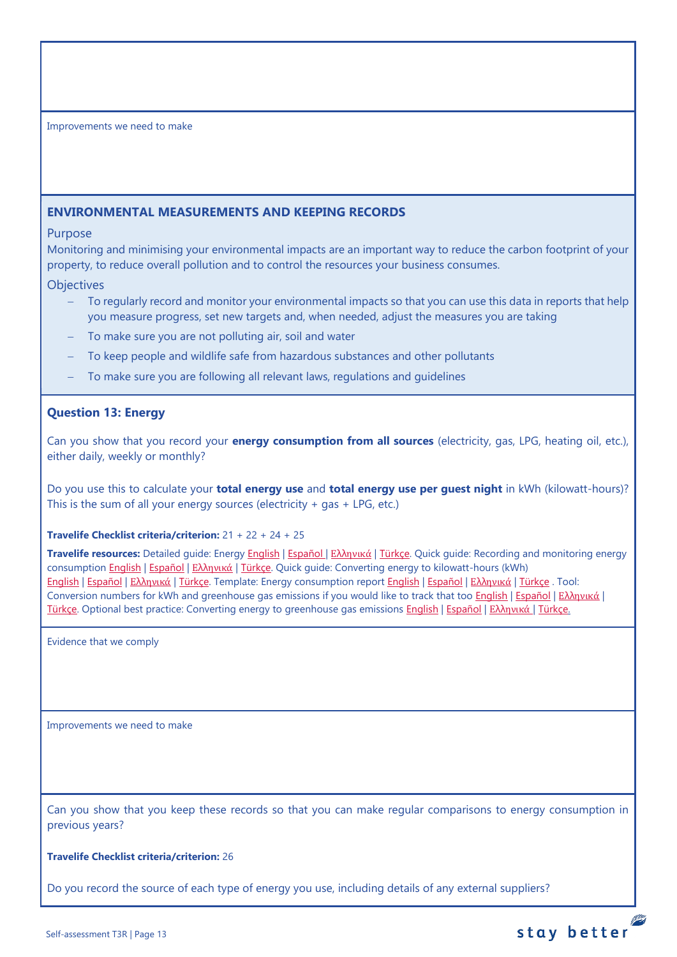## <span id="page-12-0"></span>**ENVIRONMENTAL MEASUREMENTS AND KEEPING RECORDS**

## Purpose

Monitoring and minimising your environmental impacts are an important way to reduce the carbon footprint of your property, to reduce overall pollution and to control the resources your business consumes.

## **Objectives**

- To regularly record and monitor your environmental impacts so that you can use this data in reports that help you measure progress, set new targets and, when needed, adjust the measures you are taking
- To make sure you are not polluting air, soil and water
- To keep people and wildlife safe from hazardous substances and other pollutants
- To make sure you are following all relevant laws, regulations and guidelines

## <span id="page-12-1"></span>**Question 13: Energy**

Can you show that you record your **energy consumption from all sources** (electricity, gas, LPG, heating oil, etc.), either daily, weekly or monthly?

Do you use this to calculate your **total energy use** and **total energy use per guest night** in kWh (kilowatt-hours)? This is the sum of all your energy sources (electricity  $+$  gas  $+$  LPG, etc.)

## **Travelife Checklist criteria/criterion:** 21 + 22 + 24 + 25

**Travelife resources:** Detailed guide: Energy [English](https://travelifestaybetter.com/wp-content/uploads/2019/02/17-Detailed-Guide-Energy.pdf) | [Español](https://travelifestaybetter.com/wp-content/uploads/2019/02/17-ES-Detailed-Guide-Energy.pdf) | Ελλ[ηνικά](https://travelifestaybetter.com/wp-content/uploads/2020/11/17-GR-Detailed-Guide-Energy.pdf) | [Türkçe.](https://travelifestaybetter.com/wp-content/uploads/2021/01/17-Detailed-Guide-Energy-TR-Enerji-Detayli-Kilavuz.pdf) Quick guide: Recording and monitoring energy consumption [English](https://travelifestaybetter.com/wp-content/uploads/2019/02/17-Quick-Guide-Monitoring-Reporting-Energy-Use.pdf) | [Español](https://travelifestaybetter.com/wp-content/uploads/2019/02/17-ES-Quick-Guide-Monitoring-Reporting-Energy-Use.pdf) | Ελλ[ηνικά](https://travelifestaybetter.com/wp-content/uploads/2020/01/12-Quick-Guide-Monitoring-Reporting-Energy-Use-GR.pdf) | [Türkçe.](https://travelifestaybetter.com/wp-content/uploads/2020/10/17-Quick-Guide-Monitoring-Reporting-Energy-Use-TR-Enerjinin-Takibi-ve-Raporlanmasi-icin-Hizli-Kilavuz.pdf) Quick guide: Converting energy to kilowatt-hours (kWh) [English](https://travelifestaybetter.com/wp-content/uploads/2019/02/17-Quick-Guide-Converting-Energy-to-Kilowatt-Hours.pdf) | [Español](https://travelifestaybetter.com/wp-content/uploads/2019/03/17-ES-Quick-Guide-Converting-Energy-to-Kilowatt-Hours.pdf) | Ελλ[ηνικά](https://travelifestaybetter.com/wp-content/uploads/2020/01/13-Quick-Guide-Converting-Energy-to-Kilowatt-Hours-GR.pdf) | [Türkçe.](https://travelifestaybetter.com/wp-content/uploads/2020/10/17-Quick-Guide-Converting-Energy-to-Kilowatt-Hours-TR-Enerjinin-Kilovatsaata-Donusturulmesi-icin-Hizli-Kilavuz.pdf) Template: Energy consumption report [English](https://travelifestaybetter.com/wp-content/uploads/2019/02/17-Template-Recording-Energy-Consumption.xlsx) | [Español](https://travelifestaybetter.com/wp-content/uploads/2019/02/17-ES-Template-Recording-Energy-Consumption.xlsx) | Ελλ[ηνικά](https://travelifestaybetter.com/wp-content/uploads/2019/08/17-GR-Template-Recording-Energy-Consumption.xlsx) | [Türkçe](https://travelifestaybetter.com/wp-content/uploads/2020/07/17-Template-Recording-Energy-Consumption-TR-Enerji-T%C3%BCketiminin-Kayd%C4%B1-%C5%9Eablonu.xlsx) . Tool: Conversion numbers for kWh and greenhouse gas emissions if you would like to track that too [English](https://travelifestaybetter.com/wp-content/uploads/2019/02/17-Fuel-Conversion-Rates-to-kWh-and-CO2e.pdf) | Εspañol | Ελλ[ηνικά](https://travelifestaybetter.com/wp-content/uploads/2020/01/11-Fuel-Conversion-to-kWh-and-CO2e-GR.pdf) | [Türkçe.](https://travelifestaybetter.com/wp-content/uploads/2020/10/17-Fuel-Conversion-to-kWh-and-CO2e-TR-Yakitin-kWh-ve-CO2eye-Donusturulmesi.pdf) Optional best practice: Converting energy to greenhouse gas emissions [English](https://travelifestaybetter.com/wp-content/uploads/2019/02/17-Quick-Guide-Converting-Energy-to-CO2e.pdf) | [Español](https://travelifestaybetter.com/wp-content/uploads/2019/02/17-ES-Quick-Guide-Converting-Energy-to-CO2e.pdf) | Ελλ[ηνικά](https://travelifestaybetter.com/wp-content/uploads/2020/01/14-Quick-Guide-Converting-Energy-to-CO2e-GR.pdf) | [Türkçe.](https://travelifestaybetter.com/wp-content/uploads/2020/10/17-Quick-Guide-Converting-Energy-to-CO2e-TR-Enerjinin-CO2eye-Donusturulmesi-icin-Hizli-Kilavuz.pdf)

Evidence that we comply

Improvements we need to make

Can you show that you keep these records so that you can make regular comparisons to energy consumption in previous years?

stay better

**Travelife Checklist criteria/criterion:** 26

Do you record the source of each type of energy you use, including details of any external suppliers?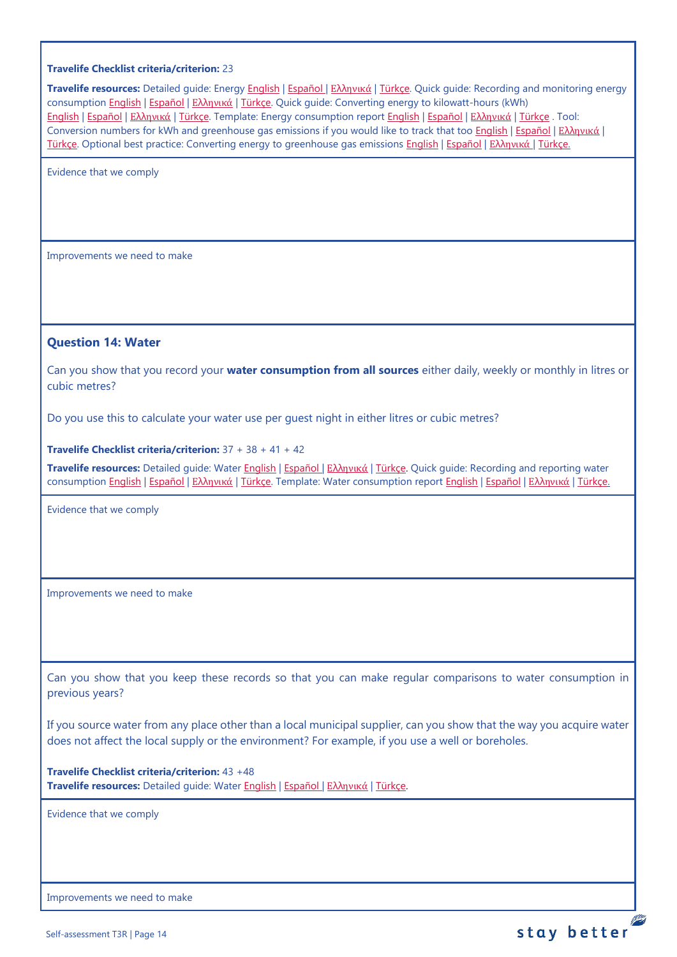#### **Travelife Checklist criteria/criterion:** 23

**Travelife resources:** Detailed guide: Energy [English](https://travelifestaybetter.com/wp-content/uploads/2019/02/17-Detailed-Guide-Energy.pdf) | [Español](https://travelifestaybetter.com/wp-content/uploads/2019/02/17-ES-Detailed-Guide-Energy.pdf) | Ελλ[ηνικά](https://travelifestaybetter.com/wp-content/uploads/2020/11/17-GR-Detailed-Guide-Energy.pdf) | [Türkçe.](https://travelifestaybetter.com/wp-content/uploads/2021/01/17-Detailed-Guide-Energy-TR-Enerji-Detayli-Kilavuz.pdf) Quick guide: Recording and monitoring energy consumption [English](https://travelifestaybetter.com/wp-content/uploads/2019/02/17-Quick-Guide-Monitoring-Reporting-Energy-Use.pdf) | [Español](https://travelifestaybetter.com/wp-content/uploads/2019/02/17-ES-Quick-Guide-Monitoring-Reporting-Energy-Use.pdf) | Ελλ[ηνικά](https://travelifestaybetter.com/wp-content/uploads/2020/01/12-Quick-Guide-Monitoring-Reporting-Energy-Use-GR.pdf) | [Türkçe.](https://travelifestaybetter.com/wp-content/uploads/2020/10/17-Quick-Guide-Monitoring-Reporting-Energy-Use-TR-Enerjinin-Takibi-ve-Raporlanmasi-icin-Hizli-Kilavuz.pdf) Quick guide: Converting energy to kilowatt-hours (kWh) [English](https://travelifestaybetter.com/wp-content/uploads/2019/02/17-Quick-Guide-Converting-Energy-to-Kilowatt-Hours.pdf) | [Español](https://travelifestaybetter.com/wp-content/uploads/2019/03/17-ES-Quick-Guide-Converting-Energy-to-Kilowatt-Hours.pdf) | Ελλ[ηνικά](https://travelifestaybetter.com/wp-content/uploads/2020/01/13-Quick-Guide-Converting-Energy-to-Kilowatt-Hours-GR.pdf) | [Türkçe.](https://travelifestaybetter.com/wp-content/uploads/2020/10/17-Quick-Guide-Converting-Energy-to-Kilowatt-Hours-TR-Enerjinin-Kilovatsaata-Donusturulmesi-icin-Hizli-Kilavuz.pdf) Template: Energy consumption report [English](https://travelifestaybetter.com/wp-content/uploads/2019/02/17-Template-Recording-Energy-Consumption.xlsx) | [Español](https://travelifestaybetter.com/wp-content/uploads/2019/02/17-ES-Template-Recording-Energy-Consumption.xlsx) | Ελλ[ηνικά](https://travelifestaybetter.com/wp-content/uploads/2019/08/17-GR-Template-Recording-Energy-Consumption.xlsx) | [Türkçe](https://travelifestaybetter.com/wp-content/uploads/2020/07/17-Template-Recording-Energy-Consumption-TR-Enerji-T%C3%BCketiminin-Kayd%C4%B1-%C5%9Eablonu.xlsx) . Tool: Conversion numbers for kWh and greenhouse gas emissions if you would like to track that too [English](https://travelifestaybetter.com/wp-content/uploads/2019/02/17-Fuel-Conversion-Rates-to-kWh-and-CO2e.pdf) | [Español](https://travelifestaybetter.com/wp-content/uploads/2019/02/17-ES-Fuel-Conversion-to-kWh-and-CO2e.pdf) | Ελλ[ηνικά](https://travelifestaybetter.com/wp-content/uploads/2020/01/11-Fuel-Conversion-to-kWh-and-CO2e-GR.pdf) | [Türkçe.](https://travelifestaybetter.com/wp-content/uploads/2020/10/17-Fuel-Conversion-to-kWh-and-CO2e-TR-Yakitin-kWh-ve-CO2eye-Donusturulmesi.pdf) Optional best practice: Converting energy to greenhouse gas emissions [English](https://travelifestaybetter.com/wp-content/uploads/2019/02/17-Quick-Guide-Converting-Energy-to-CO2e.pdf) | [Español](https://travelifestaybetter.com/wp-content/uploads/2019/02/17-ES-Quick-Guide-Converting-Energy-to-CO2e.pdf) | Ελλ[ηνικά](https://travelifestaybetter.com/wp-content/uploads/2020/01/14-Quick-Guide-Converting-Energy-to-CO2e-GR.pdf) | [Türkçe.](https://travelifestaybetter.com/wp-content/uploads/2020/10/17-Quick-Guide-Converting-Energy-to-CO2e-TR-Enerjinin-CO2eye-Donusturulmesi-icin-Hizli-Kilavuz.pdf)

Evidence that we comply

Improvements we need to make

#### <span id="page-13-0"></span>**Question 14: Water**

Can you show that you record your **water consumption from all sources** either daily, weekly or monthly in litres or cubic metres?

Do you use this to calculate your water use per guest night in either litres or cubic metres?

**Travelife Checklist criteria/criterion:** 37 + 38 + 41 + 42

**Travelife resources:** Detailed guide: Water [English](https://travelifestaybetter.com/wp-content/uploads/2019/02/18-Detailed-Guide-Water.pdf) | [Español](https://travelifestaybetter.com/wp-content/uploads/2019/02/18-ES-Detailed-Guide-Water.pdf) | Ελλ[ηνικά](https://travelifestaybetter.com/wp-content/uploads/2020/11/18-GR-Detailed-Guide-Water.pdf) | [Türkçe.](https://travelifestaybetter.com/wp-content/uploads/2021/01/18-Detailed-Guide-Water-TR-Su-Detayli-Kilavuz.pdf) Quick guide: Recording and reporting water consumption [English](https://travelifestaybetter.com/wp-content/uploads/2019/02/18-Quick-Guide-Recording-Water-Consumption.pdf) | [Español](https://travelifestaybetter.com/wp-content/uploads/2019/02/18-ES-Quick-Guide-Recording-Water-Consumption.pdf) | Ελλ[ηνικά](https://travelifestaybetter.com/wp-content/uploads/2020/01/15-Quick-Guide-Recording-Water-Consumption-GR.pdf) | [Türkçe.](https://travelifestaybetter.com/wp-content/uploads/2020/10/18-Quick-Guide-Recording-Water-Consumption-TR-Su-Tuketiminin-Kayit-Edilmesi-icin-Hizli-Kilavuz.pdf) Template: Water consumption report [English](https://travelifestaybetter.com/wp-content/uploads/2019/02/18-Template-Recording-Water-Consumption.xlsx) | [Español](https://travelifestaybetter.com/wp-content/uploads/2019/02/18-ES-Template-Recording-Water-Consumption.xlsx) | Ελλ[ηνικά](https://travelifestaybetter.com/wp-content/uploads/2019/08/18-GR-Template-Recording-Water-Consumption.xlsx) | [Türkçe.](https://travelifestaybetter.com/wp-content/uploads/2020/07/18-Template-Recording-Water-Consumption-TR-Su-T%C3%BCketiminin-Kayd%C4%B1-%C5%9Eablonu.xlsx)

Evidence that we comply

Improvements we need to make

Can you show that you keep these records so that you can make regular comparisons to water consumption in previous years?

If you source water from any place other than a local municipal supplier, can you show that the way you acquire water does not affect the local supply or the environment? For example, if you use a well or boreholes.

**Travelife Checklist criteria/criterion:** 43 +48 **Travelife resources:** Detailed guide: Water [English](https://travelifestaybetter.com/wp-content/uploads/2019/02/18-Detailed-Guide-Water.pdf) | [Español](https://travelifestaybetter.com/wp-content/uploads/2019/02/18-ES-Detailed-Guide-Water.pdf) | Ελλ[ηνικά](https://travelifestaybetter.com/wp-content/uploads/2020/11/18-GR-Detailed-Guide-Water.pdf) | [Türkçe.](https://travelifestaybetter.com/wp-content/uploads/2021/01/18-Detailed-Guide-Water-TR-Su-Detayli-Kilavuz.pdf)

Evidence that we comply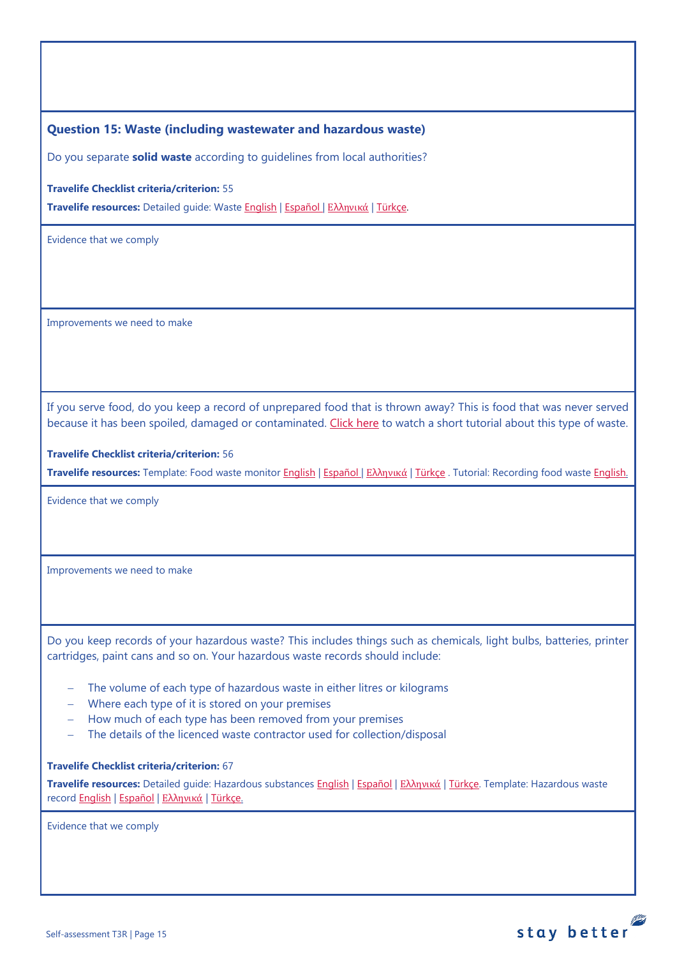<span id="page-14-0"></span>**Question 15: Waste (including wastewater and hazardous waste)**

Do you separate **solid waste** according to guidelines from local authorities?

**Travelife Checklist criteria/criterion:** 55

**Travelife resources:** Detailed guide: Waste [English](https://travelifestaybetter.com/wp-content/uploads/2019/02/19-Detailed-Guide-Waste.pdf) | [Español](https://travelifestaybetter.com/wp-content/uploads/2019/02/19-ES-Detailed-Guide-Waste.pdf) | Ελλ[ηνικά](https://travelifestaybetter.com/wp-content/uploads/2021/01/19-GR-Detailed-Guide-Waste.pdf) | [Türkçe.](https://travelifestaybetter.com/wp-content/uploads/2021/01/19-Detailed-Guide-Waste-TR-Atik-Detayli-Kilavuz.pdf)

Evidence that we comply

Improvements we need to make

If you serve food, do you keep a record of unprepared food that is thrown away? This is food that was never served because it has been spoiled, damaged or contaminated. [Click here](https://travelifestaybetter.com/wp-content/uploads/2020/05/Travelife-Tutorial-Recording-Food-Waste.mp4) to watch a short tutorial about this type of waste.

#### **Travelife Checklist criteria/criterion:** 56

**Travelife resources:** Template: Food waste monitor [English](https://travelifestaybetter.com/wp-content/uploads/2019/03/19-Food-Waste-Monitoring-Template.xlsx) | [Español](https://travelifestaybetter.com/wp-content/uploads/2019/09/19-ES-Food-Waste-Monitoring-Template.xlsx) | Ελλ[ηνικά](https://travelifestaybetter.com/19-gr-food-waste-monitoring-template/) | [Türkçe](https://travelifestaybetter.com/wp-content/uploads/2020/07/19-Food-Waste-Monitoring-Template-TR-G%C4%B1da-At%C4%B1k-Takip-%C5%9Eablonu.xlsx) . Tutorial: Recording food waste [English.](https://travelifestaybetter.com/wp-content/uploads/2020/05/Travelife-Tutorial-Recording-Food-Waste.mp4)

Evidence that we comply

Improvements we need to make

Do you keep records of your hazardous waste? This includes things such as chemicals, light bulbs, batteries, printer cartridges, paint cans and so on. Your hazardous waste records should include:

- The volume of each type of hazardous waste in either litres or kilograms
- − Where each type of it is stored on your premises
- − How much of each type has been removed from your premises
- The details of the licenced waste contractor used for collection/disposal

#### **Travelife Checklist criteria/criterion:** 67

**Travelife resources:** Detailed guide: Hazardous substances [English](https://travelifestaybetter.com/wp-content/uploads/2019/02/20-Detailed-Guide-Hazardous-Substances.pdf) | [Español](https://travelifestaybetter.com/wp-content/uploads/2019/02/20-ES-Detailed-Guide-Hazardous-Substances.pdf) | Ελλ[ηνικά](https://travelifestaybetter.com/wp-content/uploads/2021/01/20-GR-Detailed-Guide-Hazardous-Substances.pdf) | [Türkçe.](https://travelifestaybetter.com/wp-content/uploads/2021/01/20-Detailed-Guide-Hazardous-Substances-TR-Tehlikeli-Maddeler-Detayli-Kilavuz.pdf) Template: Hazardous waste recor[d English](https://travelifestaybetter.com/wp-content/uploads/2019/03/20-Template-Hazardous-Waste-Record.xlsx) | [Español](https://travelifestaybetter.com/wp-content/uploads/2019/09/20-ES-Template-Hazardous-Waste-Record.xlsx) | Ελλ[ηνικά](https://travelifestaybetter.com/20-gr-template-hazardous-waste-record/) | [Türkçe.](https://travelifestaybetter.com/wp-content/uploads/2020/07/20-Template-Hazardous-Waste-Record-TR-Tehlikeli-At%C4%B1k-Kay%C4%B1t-%C5%9Eablonu.xlsx)

Evidence that we comply

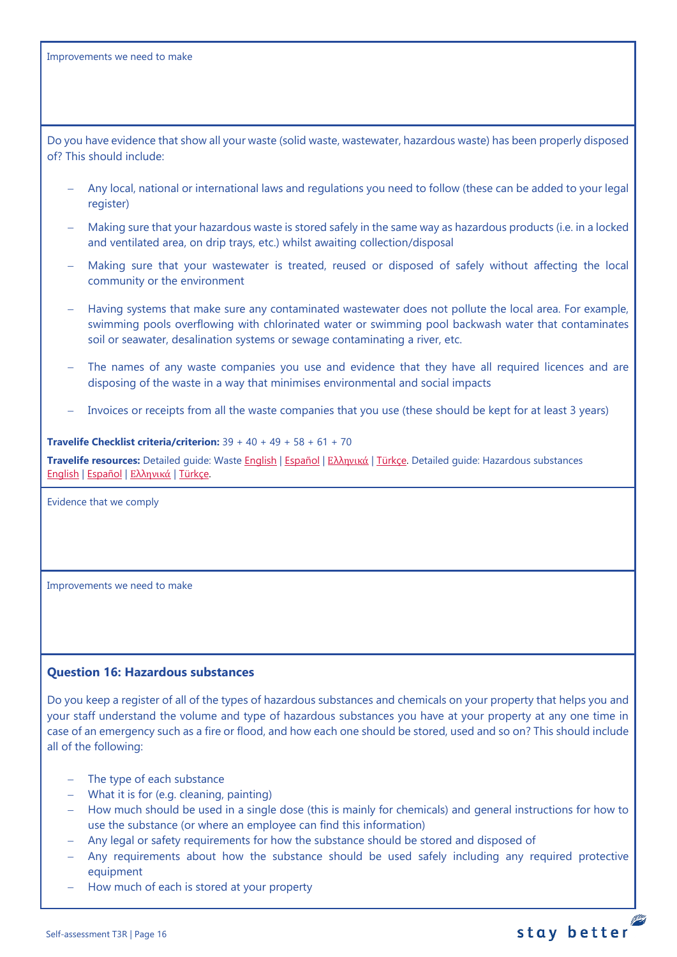Do you have evidence that show all your waste (solid waste, wastewater, hazardous waste) has been properly disposed of? This should include:

- − Any local, national or international laws and regulations you need to follow (these can be added to your legal register)
- − Making sure that your hazardous waste is stored safely in the same way as hazardous products (i.e. in a locked and ventilated area, on drip trays, etc.) whilst awaiting collection/disposal
- Making sure that your wastewater is treated, reused or disposed of safely without affecting the local community or the environment
- − Having systems that make sure any contaminated wastewater does not pollute the local area. For example, swimming pools overflowing with chlorinated water or swimming pool backwash water that contaminates soil or seawater, desalination systems or sewage contaminating a river, etc.
- The names of any waste companies you use and evidence that they have all required licences and are disposing of the waste in a way that minimises environmental and social impacts
- Invoices or receipts from all the waste companies that you use (these should be kept for at least 3 years)

**Travelife Checklist criteria/criterion:** 39 + 40 + 49 + 58 + 61 + 70 **Travelife resources:** Detailed guide: Waste [English](https://travelifestaybetter.com/wp-content/uploads/2019/02/19-Detailed-Guide-Waste.pdf) | [Español](https://travelifestaybetter.com/wp-content/uploads/2019/02/19-ES-Detailed-Guide-Waste.pdf) | Ε[λλ](https://travelifestaybetter.com/wp-content/uploads/2021/01/19-GR-Detailed-Guide-Waste.pdf)[ηνικά](https://travelifestaybetter.com/wp-content/uploads/2021/01/19-GR-Detailed-Guide-Waste.pdf) | [Türkçe.](https://travelifestaybetter.com/wp-content/uploads/2021/01/19-Detailed-Guide-Waste-TR-Atik-Detayli-Kilavuz.pdf) Detailed guide: Hazardous substances [English](https://travelifestaybetter.com/wp-content/uploads/2019/02/20-Detailed-Guide-Hazardous-Substances.pdf) | [Español](https://travelifestaybetter.com/wp-content/uploads/2019/02/20-ES-Detailed-Guide-Hazardous-Substances.pdf) | Ελλ[ηνικά](https://travelifestaybetter.com/wp-content/uploads/2021/01/20-GR-Detailed-Guide-Hazardous-Substances.pdf) | [Türkçe.](https://travelifestaybetter.com/wp-content/uploads/2021/01/20-Detailed-Guide-Hazardous-Substances-TR-Tehlikeli-Maddeler-Detayli-Kilavuz.pdf)

Evidence that we comply

Improvements we need to make

## <span id="page-15-0"></span>**Question 16: Hazardous substances**

Do you keep a register of all of the types of hazardous substances and chemicals on your property that helps you and your staff understand the volume and type of hazardous substances you have at your property at any one time in case of an emergency such as a fire or flood, and how each one should be stored, used and so on? This should include all of the following:

- − The type of each substance
- − What it is for (e.g. cleaning, painting)
- − How much should be used in a single dose (this is mainly for chemicals) and general instructions for how to use the substance (or where an employee can find this information)
- − Any legal or safety requirements for how the substance should be stored and disposed of
- − Any requirements about how the substance should be used safely including any required protective equipment

stay better

How much of each is stored at your property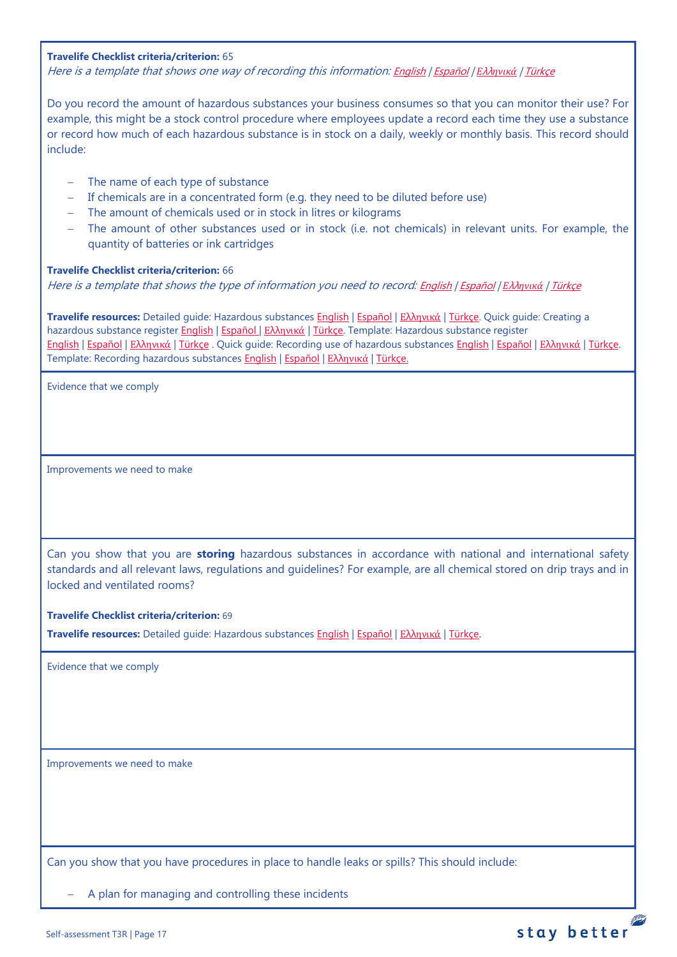#### **Travelife Checklist criteria/criterion:** 65

Here is a template that shows one way of recording this information: [English](https://travelifestaybetter.com/wp-content/uploads/2019/02/20-Member-Template-Hazardous-Substance-Register.xlsx) | [Español](https://travelifestaybetter.com/wp-content/uploads/2019/02/20-ES-Member-Template-Hazardous-Substance-Register.xlsx) | *Ε*λλ*[ηνικά](https://travelifestaybetter.com/20-gr-member-template-hazardous-substance-register/)* | [Türkçe](https://travelifestaybetter.com/wp-content/uploads/2020/07/20-Member-Template-Hazardous-Substance-Register-TR-Tehlikeli-Madde-Kayd%C4%B1-%C3%9Cye-%C5%9Eablonu.xlsx)

Do you record the amount of hazardous substances your business consumes so that you can monitor their use? For example, this might be a stock control procedure where employees update a record each time they use a substance or record how much of each hazardous substance is in stock on a daily, weekly or monthly basis. This record should include:

- − The name of each type of substance
- − If chemicals are in a concentrated form (e.g. they need to be diluted before use)
- − The amount of chemicals used or in stock in litres or kilograms
- − The amount of other substances used or in stock (i.e. not chemicals) in relevant units. For example, the quantity of batteries or ink cartridges

#### **Travelife Checklist criteria/criterion:** 66

Here is a template that shows the type of information you need to record: [English](https://travelifestaybetter.com/wp-content/uploads/2019/02/20-Member-Template-Recording-Use-of-Hazardous-Substances.xlsx) | [Español](https://travelifestaybetter.com/wp-content/uploads/2019/02/20-ES-Member-Template-Recording-Use-of-Hazardous-Substances.xlsx) | *Ε*λλ*[ηνικά](https://travelifestaybetter.com/wp-content/uploads/2019/08/20-GR-Member-Template-Recording-Use-of-Hazardous-Substances.xlsx)* | [Türkçe](https://travelifestaybetter.com/wp-content/uploads/2020/07/20-Member-Template-Recording-Use-of-Hazardous-Substances-TR-Tehlikeli-Madde-Kullan%C4%B1m-Kayd%C4%B1-%C3%9Cye-%C5%9Eablonu.xlsx)

**Travelife resources:** Detailed guide: Hazardous substances [English](https://travelifestaybetter.com/wp-content/uploads/2019/02/20-Detailed-Guide-Hazardous-Substances.pdf) | [Español](https://travelifestaybetter.com/wp-content/uploads/2019/02/20-ES-Detailed-Guide-Hazardous-Substances.pdf) | Ελλ[ηνικά](https://travelifestaybetter.com/wp-content/uploads/2021/01/20-GR-Detailed-Guide-Hazardous-Substances.pdf) | [Türkçe.](https://travelifestaybetter.com/wp-content/uploads/2021/01/20-Detailed-Guide-Hazardous-Substances-TR-Tehlikeli-Maddeler-Detayli-Kilavuz.pdf) Quick guide: Creating a hazardous substance register [English](https://travelifestaybetter.com/wp-content/uploads/2019/02/20-Quick-Guide-Creating-a-Hazardous-Substance-Register.pdf) | [Español](https://travelifestaybetter.com/wp-content/uploads/2019/02/20-ES-Quick-Guide-Creating-a-Hazardous-Substance-Register.pdf) | Ελλ[ηνικά](https://travelifestaybetter.com/wp-content/uploads/2020/01/19-Quick-Guide-Creating-a-Hazardous-Substance-Register-GR.pdf) | [Türkçe.](https://travelifestaybetter.com/wp-content/uploads/2020/10/20-Quick-Guide-Creating-a-Hazardous-Substance-Register-TR-Tehlikeli-Madde-Kaydi-Olusturmak-icin-Hizli-Kilavuz.pdf) Template: Hazardous substance register [English](https://travelifestaybetter.com/wp-content/uploads/2019/02/20-Member-Template-Hazardous-Substance-Register.xlsx) | [Español](https://travelifestaybetter.com/wp-content/uploads/2019/02/20-ES-Member-Template-Hazardous-Substance-Register.xlsx) | Ελλ[ηνικά](https://travelifestaybetter.com/20-gr-member-template-hazardous-substance-register/) | [Türkçe](https://travelifestaybetter.com/wp-content/uploads/2020/07/20-Member-Template-Hazardous-Substance-Register-TR-Tehlikeli-Madde-Kayd%C4%B1-%C3%9Cye-%C5%9Eablonu.xlsx) . Quick guide: Recording use of hazardous substance[s English](https://travelifestaybetter.com/wp-content/uploads/2019/02/20-Quick-Guide-Recording-Use-of-Hazardous-Substances.pdf) | [Español](https://travelifestaybetter.com/wp-content/uploads/2019/02/20-ES-Quick-Guide-Recording-Use-of-Hazardous-Substances.pdf) | Ελλ[ηνικά](https://travelifestaybetter.com/wp-content/uploads/2020/01/20-Quick-Guide-Recording-Use-of-Hazardous-Substances-GR.pdf) | [Türkçe.](https://travelifestaybetter.com/wp-content/uploads/2020/10/20-Quick-Guide-Recording-Use-of-Hazardous-Substances-TR-Tehlikeli-Maddelerin-Kullaniminin-Kaydi-icin-Hizli-Kilavuz.pdf) Template: Recording hazardous substances [English](https://travelifestaybetter.com/wp-content/uploads/2019/02/20-Member-Template-Recording-Use-of-Hazardous-Substances.xlsx) | [Español](https://travelifestaybetter.com/wp-content/uploads/2019/02/20-ES-Member-Template-Recording-Use-of-Hazardous-Substances.xlsx) | Ελλ[ηνικά](https://travelifestaybetter.com/20-gr-member-template-recording-use-of-hazardous-substances/) | [Türkçe.](https://travelifestaybetter.com/wp-content/uploads/2020/07/20-Member-Template-Recording-Use-of-Hazardous-Substances-TR-Tehlikeli-Madde-Kullan%C4%B1m-Kayd%C4%B1-%C3%9Cye-%C5%9Eablonu.xlsx)

Evidence that we comply

Improvements we need to make

Can you show that you are **storing** hazardous substances in accordance with national and international safety standards and all relevant laws, regulations and guidelines? For example, are all chemical stored on drip trays and in locked and ventilated rooms?

#### **Travelife Checklist criteria/criterion:** 69

**Travelife resources:** Detailed guide: Hazardous substances [English](https://travelifestaybetter.com/wp-content/uploads/2019/02/20-Detailed-Guide-Hazardous-Substances.pdf) | [Español](https://travelifestaybetter.com/wp-content/uploads/2019/02/20-ES-Detailed-Guide-Hazardous-Substances.pdf) | Ελλ[ηνικά](https://travelifestaybetter.com/wp-content/uploads/2021/01/20-GR-Detailed-Guide-Hazardous-Substances.pdf) | [Türkçe.](https://travelifestaybetter.com/wp-content/uploads/2021/01/20-Detailed-Guide-Hazardous-Substances-TR-Tehlikeli-Maddeler-Detayli-Kilavuz.pdf)

Evidence that we comply

Improvements we need to make

Can you show that you have procedures in place to handle leaks or spills? This should include:

A plan for managing and controlling these incidents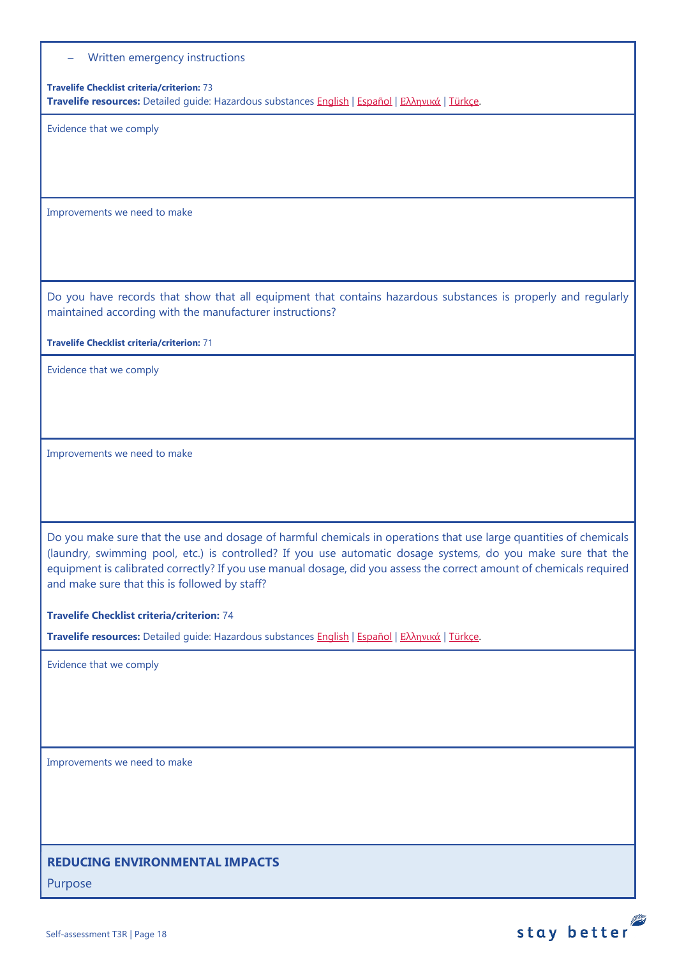− Written emergency instructions

**Travelife Checklist criteria/criterion:** 73 **Travelife resources:** Detailed guide: Hazardous substances [English](https://travelifestaybetter.com/wp-content/uploads/2019/02/20-Detailed-Guide-Hazardous-Substances.pdf) | [Español](https://travelifestaybetter.com/wp-content/uploads/2019/02/20-ES-Detailed-Guide-Hazardous-Substances.pdf) | Ελλ[ηνικά](https://travelifestaybetter.com/wp-content/uploads/2021/01/20-GR-Detailed-Guide-Hazardous-Substances.pdf) | [Türkçe.](https://travelifestaybetter.com/wp-content/uploads/2021/01/20-Detailed-Guide-Hazardous-Substances-TR-Tehlikeli-Maddeler-Detayli-Kilavuz.pdf)

Evidence that we comply

Improvements we need to make

Do you have records that show that all equipment that contains hazardous substances is properly and regularly maintained according with the manufacturer instructions?

**Travelife Checklist criteria/criterion:** 71

Evidence that we comply

Improvements we need to make

Do you make sure that the use and dosage of harmful chemicals in operations that use large quantities of chemicals (laundry, swimming pool, etc.) is controlled? If you use automatic dosage systems, do you make sure that the equipment is calibrated correctly? If you use manual dosage, did you assess the correct amount of chemicals required and make sure that this is followed by staff?

**Travelife Checklist criteria/criterion:** 74

**Travelife resources:** Detailed guide: Hazardous substances [English](https://travelifestaybetter.com/wp-content/uploads/2019/02/20-Detailed-Guide-Hazardous-Substances.pdf) | [Español](https://travelifestaybetter.com/wp-content/uploads/2019/02/20-ES-Detailed-Guide-Hazardous-Substances.pdf) | Ελλ[ηνικά](https://travelifestaybetter.com/wp-content/uploads/2021/01/20-GR-Detailed-Guide-Hazardous-Substances.pdf) | [Türkçe.](https://travelifestaybetter.com/wp-content/uploads/2021/01/20-Detailed-Guide-Hazardous-Substances-TR-Tehlikeli-Maddeler-Detayli-Kilavuz.pdf)

Evidence that we comply

Improvements we need to make

## **REDUCING ENVIRONMENTAL IMPACTS**

Purpose

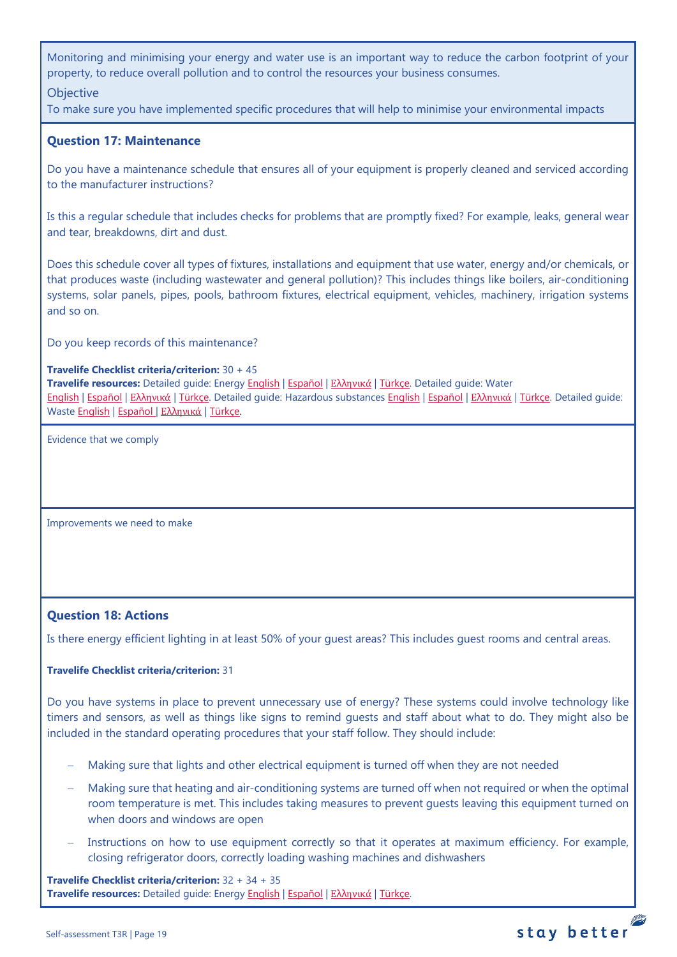Monitoring and minimising your energy and water use is an important way to reduce the carbon footprint of your property, to reduce overall pollution and to control the resources your business consumes.

## **Objective**

To make sure you have implemented specific procedures that will help to minimise your environmental impacts

## <span id="page-18-1"></span>**Question 17: Maintenance**

Do you have a maintenance schedule that ensures all of your equipment is properly cleaned and serviced according to the manufacturer instructions?

Is this a regular schedule that includes checks for problems that are promptly fixed? For example, leaks, general wear and tear, breakdowns, dirt and dust.

Does this schedule cover all types of fixtures, installations and equipment that use water, energy and/or chemicals, or that produces waste (including wastewater and general pollution)? This includes things like boilers, air-conditioning systems, solar panels, pipes, pools, bathroom fixtures, electrical equipment, vehicles, machinery, irrigation systems and so on.

Do you keep records of this maintenance?

#### **Travelife Checklist criteria/criterion:** 30 + 45

**Travelife resources:** Detailed guide: Energy [English](https://travelifestaybetter.com/wp-content/uploads/2019/02/17-Detailed-Guide-Energy.pdf) | [Español](https://travelifestaybetter.com/wp-content/uploads/2019/02/17-ES-Detailed-Guide-Energy.pdf) | Ελλ[ηνικά](https://travelifestaybetter.com/wp-content/uploads/2020/11/17-GR-Detailed-Guide-Energy.pdf) | [Türkçe.](https://travelifestaybetter.com/wp-content/uploads/2021/01/17-Detailed-Guide-Energy-TR-Enerji-Detayli-Kilavuz.pdf) Detailed guide: Water [English](https://travelifestaybetter.com/wp-content/uploads/2019/02/18-Detailed-Guide-Water.pdf) | [Español](https://travelifestaybetter.com/wp-content/uploads/2019/02/18-ES-Detailed-Guide-Water.pdf) | Ελλ[ηνικά](https://travelifestaybetter.com/wp-content/uploads/2020/11/18-GR-Detailed-Guide-Water.pdf) | [Türkçe.](https://travelifestaybetter.com/wp-content/uploads/2021/01/18-Detailed-Guide-Water-TR-Su-Detayli-Kilavuz.pdf) Detailed guide: Hazardous substances [English](https://travelifestaybetter.com/wp-content/uploads/2019/02/20-Detailed-Guide-Hazardous-Substances.pdf) | [Español](https://travelifestaybetter.com/wp-content/uploads/2019/02/20-ES-Detailed-Guide-Hazardous-Substances.pdf) | Ελλ[ηνικά](https://travelifestaybetter.com/wp-content/uploads/2021/01/20-GR-Detailed-Guide-Hazardous-Substances.pdf) | [Türkçe.](https://travelifestaybetter.com/wp-content/uploads/2021/01/20-Detailed-Guide-Hazardous-Substances-TR-Tehlikeli-Maddeler-Detayli-Kilavuz.pdf) Detailed guide: Waste [English](https://travelifestaybetter.com/wp-content/uploads/2019/02/19-Detailed-Guide-Waste.pdf) | [Español](https://travelifestaybetter.com/wp-content/uploads/2019/02/19-ES-Detailed-Guide-Waste.pdf) | Ελλ[ηνικά](https://travelifestaybetter.com/wp-content/uploads/2021/01/19-GR-Detailed-Guide-Waste.pdf) | [Türkçe.](https://travelifestaybetter.com/wp-content/uploads/2021/01/19-Detailed-Guide-Waste-TR-Atik-Detayli-Kilavuz.pdf)

Evidence that we comply

<span id="page-18-0"></span>Improvements we need to make

## <span id="page-18-2"></span>**Question 18: Actions**

Is there energy efficient lighting in at least 50% of your guest areas? This includes guest rooms and central areas.

## **Travelife Checklist criteria/criterion:** 31

Do you have systems in place to prevent unnecessary use of energy? These systems could involve technology like timers and sensors, as well as things like signs to remind guests and staff about what to do. They might also be included in the standard operating procedures that your staff follow. They should include:

- Making sure that lights and other electrical equipment is turned off when they are not needed
- − Making sure that heating and air-conditioning systems are turned off when not required or when the optimal room temperature is met. This includes taking measures to prevent guests leaving this equipment turned on when doors and windows are open
- Instructions on how to use equipment correctly so that it operates at maximum efficiency. For example, closing refrigerator doors, correctly loading washing machines and dishwashers

**Travelife Checklist criteria/criterion:** 32 + 34 + 35 **Travelife resources:** Detailed guide: Energy [English](https://travelifestaybetter.com/wp-content/uploads/2019/02/17-Detailed-Guide-Energy.pdf) | [Español](https://travelifestaybetter.com/wp-content/uploads/2019/02/17-ES-Detailed-Guide-Energy.pdf) | Ελλ[ηνικά](https://travelifestaybetter.com/wp-content/uploads/2020/11/17-GR-Detailed-Guide-Energy.pdf) | [Türkçe.](https://travelifestaybetter.com/wp-content/uploads/2021/01/17-Detailed-Guide-Energy-TR-Enerji-Detayli-Kilavuz.pdf)

## stay better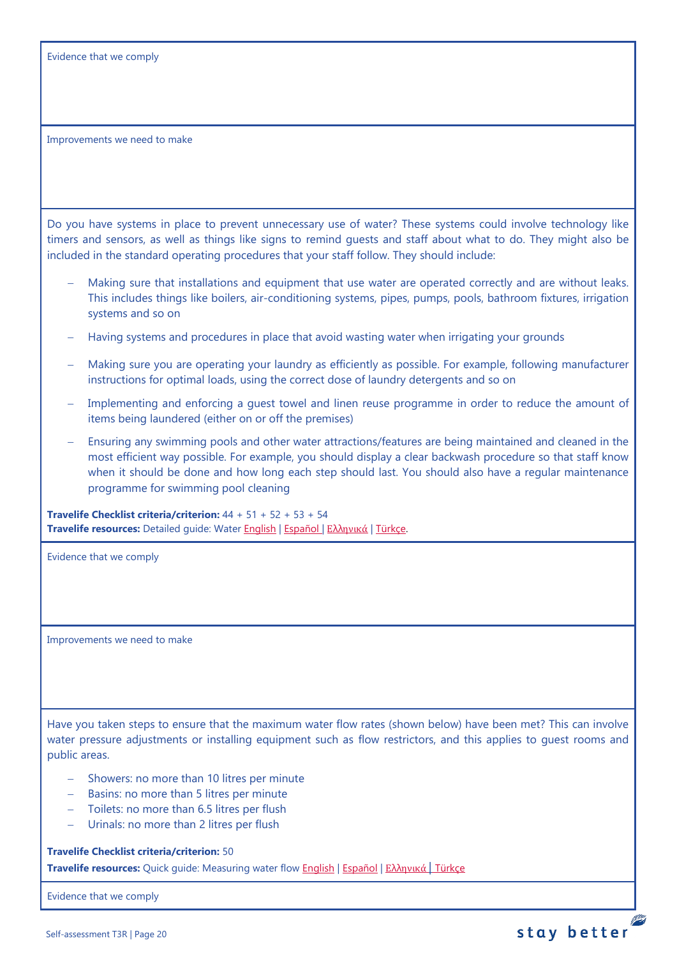| Evidence that we comply |  |  |  |  |
|-------------------------|--|--|--|--|
|-------------------------|--|--|--|--|

Do you have systems in place to prevent unnecessary use of water? These systems could involve technology like timers and sensors, as well as things like signs to remind guests and staff about what to do. They might also be included in the standard operating procedures that your staff follow. They should include:

- Making sure that installations and equipment that use water are operated correctly and are without leaks. This includes things like boilers, air-conditioning systems, pipes, pumps, pools, bathroom fixtures, irrigation systems and so on
- − Having systems and procedures in place that avoid wasting water when irrigating your grounds
- Making sure you are operating your laundry as efficiently as possible. For example, following manufacturer instructions for optimal loads, using the correct dose of laundry detergents and so on
- Implementing and enforcing a guest towel and linen reuse programme in order to reduce the amount of items being laundered (either on or off the premises)
- Ensuring any swimming pools and other water attractions/features are being maintained and cleaned in the most efficient way possible. For example, you should display a clear backwash procedure so that staff know when it should be done and how long each step should last. You should also have a regular maintenance programme for swimming pool cleaning

**Travelife Checklist criteria/criterion:** 44 + 51 + 52 + 53 + 54 **Travelife resources:** Detailed guide: Wate[r English](https://travelifestaybetter.com/wp-content/uploads/2019/02/18-Detailed-Guide-Water.pdf) | [Español](https://travelifestaybetter.com/wp-content/uploads/2019/02/18-ES-Detailed-Guide-Water.pdf) | Ελλ[ηνικά](https://travelifestaybetter.com/wp-content/uploads/2020/11/18-GR-Detailed-Guide-Water.pdf) | [Türkçe.](https://travelifestaybetter.com/wp-content/uploads/2021/01/18-Detailed-Guide-Water-TR-Su-Detayli-Kilavuz.pdf)

Evidence that we comply

Improvements we need to make

Have you taken steps to ensure that the maximum water flow rates (shown below) have been met? This can involve water pressure adjustments or installing equipment such as flow restrictors, and this applies to guest rooms and public areas.

- − Showers: no more than 10 litres per minute
- − Basins: no more than 5 litres per minute
- − Toilets: no more than 6.5 litres per flush
- − Urinals: no more than 2 litres per flush

**Travelife Checklist criteria/criterion:** 50

**Travelife resources:** Quick guide: Measuring water flow [English](https://travelifestaybetter.com/wp-content/uploads/2019/02/18-Quick-Guide-Measuring-Water-Flow.pdf) | [Español](https://travelifestaybetter.com/wp-content/uploads/2019/02/18-ES-Quick-Guide-Measuring-Water-Flow.pdf) | Ελλ[ηνικά](https://travelifestaybetter.com/wp-content/uploads/2020/01/16-Quick-Guide-Measuring-Water-Flow-GR.pdf) | [Türkçe](https://travelifestaybetter.com/wp-content/uploads/2020/10/18-Quick-Guide-Measuring-Water-Flow-TR-Su-Debisinin-Olculmesi-icin-Hizli-Kilavuz.pdf)

Evidence that we comply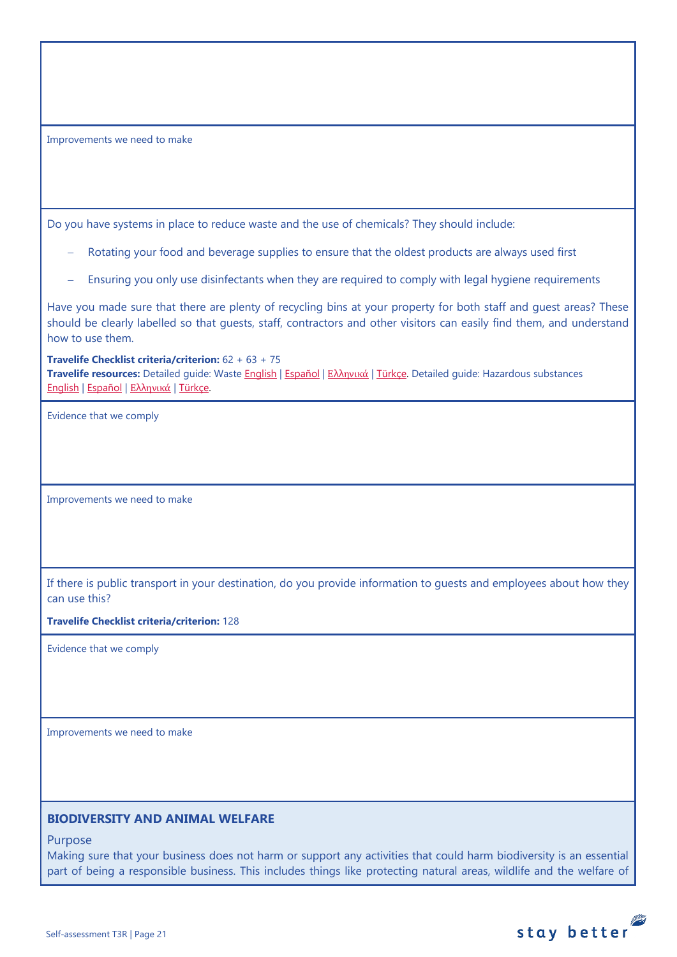Do you have systems in place to reduce waste and the use of chemicals? They should include:

- Rotating your food and beverage supplies to ensure that the oldest products are always used first
- Ensuring you only use disinfectants when they are required to comply with legal hygiene requirements

Have you made sure that there are plenty of recycling bins at your property for both staff and guest areas? These should be clearly labelled so that guests, staff, contractors and other visitors can easily find them, and understand how to use them.

**Travelife Checklist criteria/criterion:** 62 + 63 + 75

**Travelife resources:** Detailed guide: Waste [English](https://travelifestaybetter.com/wp-content/uploads/2019/02/19-Detailed-Guide-Waste.pdf) | [Español](https://travelifestaybetter.com/wp-content/uploads/2019/02/19-ES-Detailed-Guide-Waste.pdf) | Ελλ[ηνικά](https://travelifestaybetter.com/wp-content/uploads/2021/01/19-GR-Detailed-Guide-Waste.pdf) | [Türkçe.](https://travelifestaybetter.com/wp-content/uploads/2021/01/19-Detailed-Guide-Waste-TR-Atik-Detayli-Kilavuz.pdf) Detailed guide: Hazardous substances [English](https://travelifestaybetter.com/wp-content/uploads/2019/02/20-Detailed-Guide-Hazardous-Substances.pdf) | [Español](https://travelifestaybetter.com/wp-content/uploads/2019/02/20-ES-Detailed-Guide-Hazardous-Substances.pdf) | Ελλ[ηνικά](https://travelifestaybetter.com/wp-content/uploads/2021/01/20-GR-Detailed-Guide-Hazardous-Substances.pdf) | [Türkçe.](https://travelifestaybetter.com/wp-content/uploads/2021/01/20-Detailed-Guide-Hazardous-Substances-TR-Tehlikeli-Maddeler-Detayli-Kilavuz.pdf)

Evidence that we comply

Improvements we need to make

If there is public transport in your destination, do you provide information to guests and employees about how they can use this?

**Travelife Checklist criteria/criterion:** 128

Evidence that we comply

Improvements we need to make

## **BIODIVERSITY AND ANIMAL WELFARE**

Purpose

Making sure that your business does not harm or support any activities that could harm biodiversity is an essential part of being a responsible business. This includes things like protecting natural areas, wildlife and the welfare of

stay better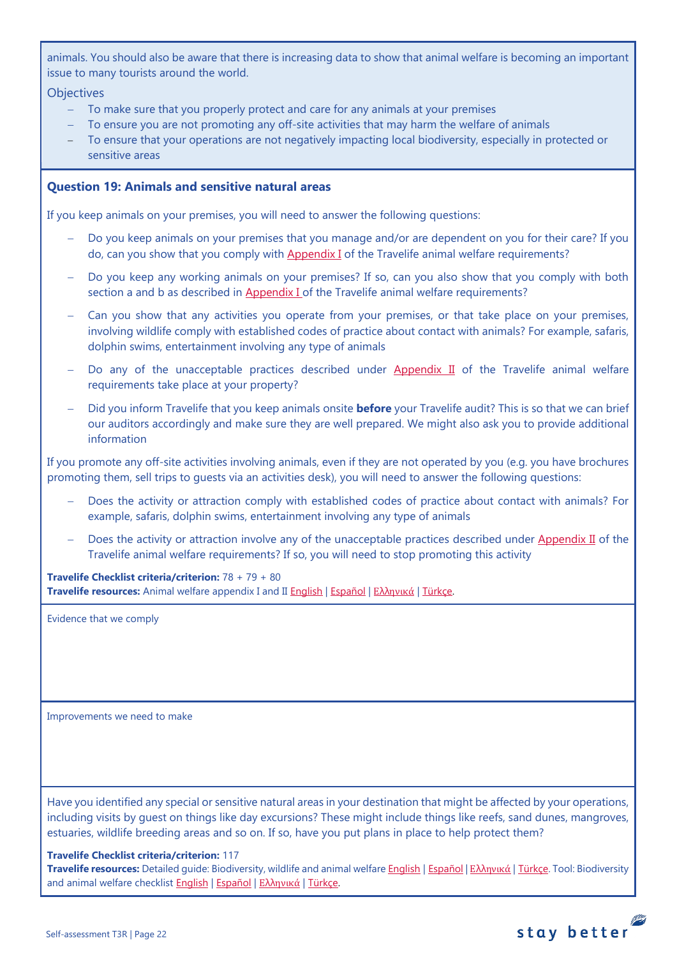animals. You should also be aware that there is increasing data to show that animal welfare is becoming an important issue to many tourists around the world.

## **Objectives**

- − To make sure that you properly protect and care for any animals at your premises
- To ensure you are not promoting any off-site activities that may harm the welfare of animals
- To ensure that your operations are not negatively impacting local biodiversity, especially in protected or sensitive areas

## <span id="page-21-1"></span>**Question 19: Animals and sensitive natural areas**

If you keep animals on your premises, you will need to answer the following questions:

- Do you keep animals on your premises that you manage and/or are dependent on you for their care? If you do, can you show that you comply wit[h Appendix I](https://travelifestaybetter.com/travelife-standard-checklists/) of the Travelife animal welfare requirements?
- Do you keep any working animals on your premises? If so, can you also show that you comply with both section a and b as described in [Appendix I o](https://travelifestaybetter.com/travelife-standard-checklists/)f the Travelife animal welfare requirements?
- Can you show that any activities you operate from your premises, or that take place on your premises, involving wildlife comply with established codes of practice about contact with animals? For example, safaris, dolphin swims, entertainment involving any type of animals
- Do any of the unacceptable practices described under [Appendix II](https://travelifestaybetter.com/travelife-standard-checklists/) of the Travelife animal welfare requirements take place at your property?
- − Did you inform Travelife that you keep animals onsite **before** your Travelife audit? This is so that we can brief our auditors accordingly and make sure they are well prepared. We might also ask you to provide additional information

If you promote any off-site activities involving animals, even if they are not operated by you (e.g. you have brochures promoting them, sell trips to guests via an activities desk), you will need to answer the following questions:

- Does the activity or attraction comply with established codes of practice about contact with animals? For example, safaris, dolphin swims, entertainment involving any type of animals
- Does the activity or attraction involve any of the unacceptable practices described under [Appendix II](https://travelifestaybetter.com/travelife-standard-checklists/) of the Travelife animal welfare requirements? If so, you will need to stop promoting this activity

**Travelife Checklist criteria/criterion:** 78 + 79 + 80 **Travelife resources:** Animal welfare appendix I and II [English](https://travelifestaybetter.com/wp-content/uploads/2020/12/Appendix-I-and-II-Animal-Welfare-Version-3.0-EN.pdf) | [Español](https://travelifestaybetter.com/wp-content/uploads/2020/12/Appendix-I-and-II-Animal-Welfare-Version-3.0-ES.pdf) | Ελλ[ηνικά](https://travelifestaybetter.com/wp-content/uploads/2020/12/GR-Appendix-I-and-II-Animal-Welfare-Version-3.0.pdf) | [Türkçe.](https://travelifestaybetter.com/wp-content/uploads/2020/12/Appendix-I-and-II-Animal-Welfare-Version-3.0-TR.pdf)

Evidence that we comply

<span id="page-21-0"></span>Improvements we need to make

Have you identified any special or sensitive natural areas in your destination that might be affected by your operations, including visits by guest on things like day excursions? These might include things like reefs, sand dunes, mangroves, estuaries, wildlife breeding areas and so on. If so, have you put plans in place to help protect them?

#### **Travelife Checklist criteria/criterion:** 117

**Travelife resources:** Detailed guide: Biodiversity, wildlife and animal welfar[e English](https://travelifestaybetter.com/wp-content/uploads/2021/01/21-Detailed-Guided-Biodiversity-and-Animal-Welfare-V2.0.pdf) | [Español](https://travelifestaybetter.com/wp-content/uploads/2021/01/21-ES-Detailed-Guided-Biodiversity-and-Animal-Welfare-V2.0.pdf) | Ελλ[ηνικά](https://travelifestaybetter.com/wp-content/uploads/2021/01/21-GR-Detailed-Guided-Biodiversity-and-Animal-Welfare.pdf) | [Türkçe.](https://travelifestaybetter.com/wp-content/uploads/2021/01/21-Detailed-Guided-Biodiversity-and-Animal-Welfare-V2.0-TR-Biyocesitlilik-ve-Hayvan-Refahi-Detayli-Kilavuz.pdf) Tool: Biodiversity and animal welfare checklist [English](https://travelifestaybetter.com/wp-content/uploads/2020/11/21-Biodiversity-and-Animal-Welfare-Checklist-V2.0.docx) | [Español](https://travelifestaybetter.com/wp-content/uploads/2020/11/21-ES-Biodiversity-and-Animal-Welfare-Checklist-V2.0.docx) | Ελλ[ηνικά](https://travelifestaybetter.com/wp-content/uploads/2021/01/21-GR-Biodiversity-and-Animal-Welfare-Checklist.docx) | [Türkçe.](https://travelifestaybetter.com/wp-content/uploads/2020/10/21-Biodiversity-and-Animal-Welfare-Checklist-July-2021-TR-Biyocesitlilik-ve-Hayvan-Refahi-Kontrol-Listesi.docx)

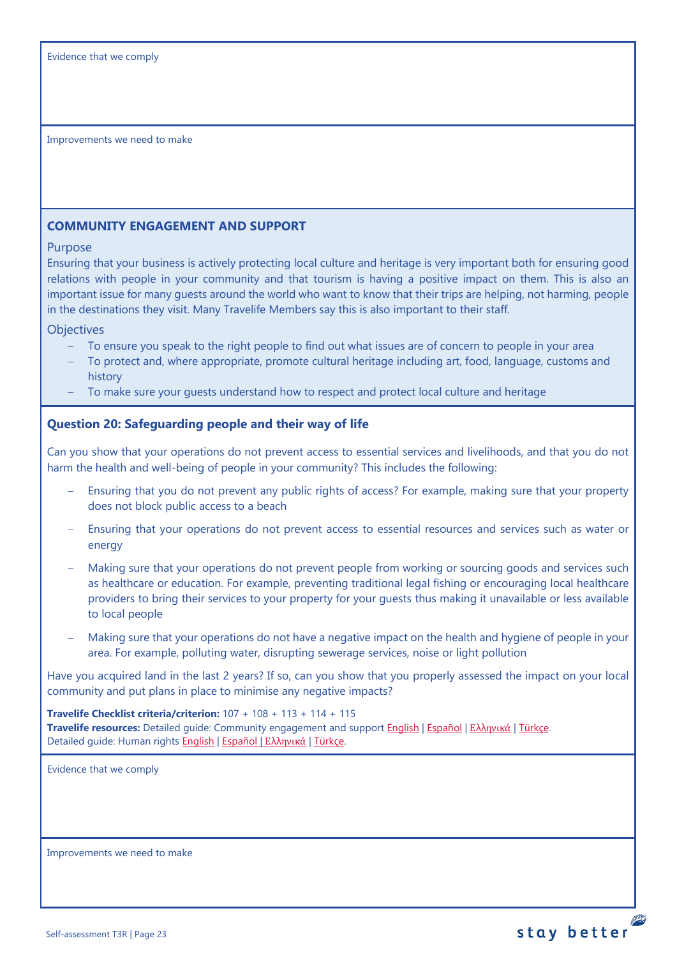## <span id="page-22-0"></span>**COMMUNITY ENGAGEMENT AND SUPPORT**

#### Purpose

Ensuring that your business is actively protecting local culture and heritage is very important both for ensuring good relations with people in your community and that tourism is having a positive impact on them. This is also an important issue for many guests around the world who want to know that their trips are helping, not harming, people in the destinations they visit. Many Travelife Members say this is also important to their staff.

**Objectives** 

- To ensure you speak to the right people to find out what issues are of concern to people in your area
- − To protect and, where appropriate, promote cultural heritage including art, food, language, customs and history
- To make sure your guests understand how to respect and protect local culture and heritage

## <span id="page-22-1"></span>**Question 20: Safeguarding people and their way of life**

Can you show that your operations do not prevent access to essential services and livelihoods, and that you do not harm the health and well-being of people in your community? This includes the following:

- Ensuring that you do not prevent any public rights of access? For example, making sure that your property does not block public access to a beach
- Ensuring that your operations do not prevent access to essential resources and services such as water or energy
- Making sure that your operations do not prevent people from working or sourcing goods and services such as healthcare or education. For example, preventing traditional legal fishing or encouraging local healthcare providers to bring their services to your property for your guests thus making it unavailable or less available to local people
- − Making sure that your operations do not have a negative impact on the health and hygiene of people in your area. For example, polluting water, disrupting sewerage services, noise or light pollution

stay better

Have you acquired land in the last 2 years? If so, can you show that you properly assessed the impact on your local community and put plans in place to minimise any negative impacts?

**Travelife Checklist criteria/criterion:** 107 + 108 + 113 + 114 + 115 **Travelife resources:** Detailed guide: Community engagement and suppor[t English](https://travelifestaybetter.com/wp-content/uploads/2019/02/7-Detailed-Guide-Community-Engagement.pdf) | [Español](https://travelifestaybetter.com/wp-content/uploads/2019/02/7-ES-Detailed-Guide-Community-Engagement.pdf) | Ελλ[ηνικά](https://travelifestaybetter.com/wp-content/uploads/2020/11/7-GR-Detailed-Guide-Community-Engagement.pdf) | [Türkçe.](https://travelifestaybetter.com/wp-content/uploads/2021/01/7-Detailed-Guide-Community-Engagement-TR-Toplum-Katilimi-ve-Destegi-Detayli-Kilavuz.pdf) Detailed guide: Human rights [English](https://travelifestaybetter.com/wp-content/uploads/2021/01/8-Detailed-Guide-Human-Rights.pdf) | Εspañol | Ελλ[ηνικά](https://travelifestaybetter.com/wp-content/uploads/2021/01/8-GR-Detailed-Guide-Human-Rights.pdf) | [Türkçe.](https://travelifestaybetter.com/wp-content/uploads/2021/01/8-Detailed-Guide-Human-Rights-TR-Insan-Haklari-Detayli-Kilavuz.pdf)

Evidence that we comply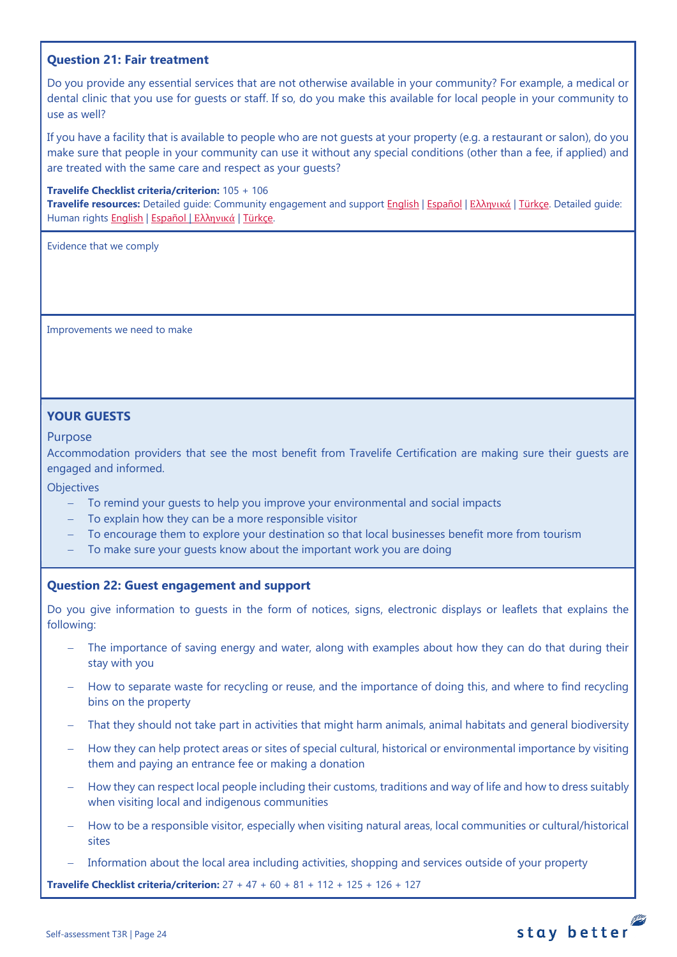## <span id="page-23-0"></span>**Question 21: Fair treatment**

Do you provide any essential services that are not otherwise available in your community? For example, a medical or dental clinic that you use for guests or staff. If so, do you make this available for local people in your community to use as well?

If you have a facility that is available to people who are not guests at your property (e.g. a restaurant or salon), do you make sure that people in your community can use it without any special conditions (other than a fee, if applied) and are treated with the same care and respect as your guests?

#### **Travelife Checklist criteria/criterion:** 105 + 106

**Travelife resources:** Detailed guide: Community engagement and suppor[t English](https://travelifestaybetter.com/wp-content/uploads/2019/02/7-Detailed-Guide-Community-Engagement.pdf) | [Español](https://travelifestaybetter.com/wp-content/uploads/2019/02/7-ES-Detailed-Guide-Community-Engagement.pdf) | Ελλ[ηνικά](https://travelifestaybetter.com/wp-content/uploads/2020/11/7-GR-Detailed-Guide-Community-Engagement.pdf) | [Türkçe.](https://travelifestaybetter.com/wp-content/uploads/2021/01/7-Detailed-Guide-Community-Engagement-TR-Toplum-Katilimi-ve-Destegi-Detayli-Kilavuz.pdf) Detailed guide: Human rights [English](https://travelifestaybetter.com/wp-content/uploads/2021/01/8-Detailed-Guide-Human-Rights.pdf) | [Español](https://travelifestaybetter.com/wp-content/uploads/2021/01/8-ES-Detailed-Guide-Human-Rights.pdf) | Ελλ[ηνικά](https://travelifestaybetter.com/wp-content/uploads/2021/01/8-GR-Detailed-Guide-Human-Rights.pdf) | [Türkçe.](https://travelifestaybetter.com/wp-content/uploads/2021/01/8-Detailed-Guide-Human-Rights-TR-Insan-Haklari-Detayli-Kilavuz.pdf)

Evidence that we comply

Improvements we need to make

## **YOUR GUESTS**

#### Purpose

Accommodation providers that see the most benefit from Travelife Certification are making sure their guests are engaged and informed.

## **Objectives**

- − To remind your guests to help you improve your environmental and social impacts
- − To explain how they can be a more responsible visitor
- − To encourage them to explore your destination so that local businesses benefit more from tourism
- − To make sure your guests know about the important work you are doing

## <span id="page-23-1"></span>**Question 22: Guest engagement and support**

Do you give information to guests in the form of notices, signs, electronic displays or leaflets that explains the following:

- The importance of saving energy and water, along with examples about how they can do that during their stay with you
- How to separate waste for recycling or reuse, and the importance of doing this, and where to find recycling bins on the property
- That they should not take part in activities that might harm animals, animal habitats and general biodiversity
- − How they can help protect areas or sites of special cultural, historical or environmental importance by visiting them and paying an entrance fee or making a donation
- − How they can respect local people including their customs, traditions and way of life and how to dress suitably when visiting local and indigenous communities
- − How to be a responsible visitor, especially when visiting natural areas, local communities or cultural/historical sites

stay better

Information about the local area including activities, shopping and services outside of your property

**Travelife Checklist criteria/criterion:** 27 + 47 + 60 + 81 + 112 + 125 + 126 + 127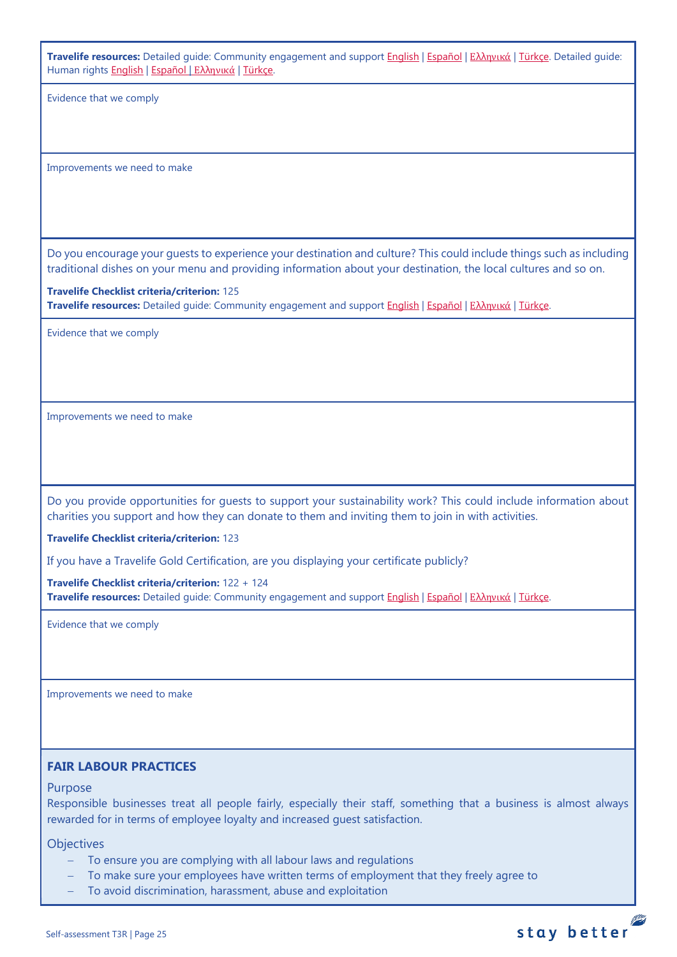**Travelife resources:** Detailed guide: Community engagement and suppor[t English](https://travelifestaybetter.com/wp-content/uploads/2019/02/7-Detailed-Guide-Community-Engagement.pdf) | [Español](https://travelifestaybetter.com/wp-content/uploads/2019/02/7-ES-Detailed-Guide-Community-Engagement.pdf) | Ελλ[ηνικά](https://travelifestaybetter.com/wp-content/uploads/2020/11/7-GR-Detailed-Guide-Community-Engagement.pdf) | [Türkçe.](https://travelifestaybetter.com/wp-content/uploads/2021/01/7-Detailed-Guide-Community-Engagement-TR-Toplum-Katilimi-ve-Destegi-Detayli-Kilavuz.pdf) Detailed guide: Human rights [English](https://travelifestaybetter.com/wp-content/uploads/2021/01/8-Detailed-Guide-Human-Rights.pdf) | [Español](https://travelifestaybetter.com/wp-content/uploads/2021/01/8-ES-Detailed-Guide-Human-Rights.pdf) | Ελλ[ηνικά](https://travelifestaybetter.com/wp-content/uploads/2021/01/8-GR-Detailed-Guide-Human-Rights.pdf) | [Türkçe.](https://travelifestaybetter.com/wp-content/uploads/2021/01/8-Detailed-Guide-Human-Rights-TR-Insan-Haklari-Detayli-Kilavuz.pdf)

Evidence that we comply

<span id="page-24-0"></span>Improvements we need to make

Do you encourage your guests to experience your destination and culture? This could include things such as including traditional dishes on your menu and providing information about your destination, the local cultures and so on.

**Travelife Checklist criteria/criterion:** 125 **Travelife resources:** Detailed guide: Community engagement and suppor[t English](https://travelifestaybetter.com/wp-content/uploads/2019/02/7-Detailed-Guide-Community-Engagement.pdf) | [Español](https://travelifestaybetter.com/wp-content/uploads/2019/02/7-ES-Detailed-Guide-Community-Engagement.pdf) | Ελλ[ηνικά](https://travelifestaybetter.com/wp-content/uploads/2020/11/7-GR-Detailed-Guide-Community-Engagement.pdf) | [Türkçe.](https://travelifestaybetter.com/wp-content/uploads/2021/01/7-Detailed-Guide-Community-Engagement-TR-Toplum-Katilimi-ve-Destegi-Detayli-Kilavuz.pdf)

Evidence that we comply

Improvements we need to make

Do you provide opportunities for guests to support your sustainability work? This could include information about charities you support and how they can donate to them and inviting them to join in with activities.

**Travelife Checklist criteria/criterion:** 123

If you have a Travelife Gold Certification, are you displaying your certificate publicly?

**Travelife Checklist criteria/criterion:** 122 + 124 **Travelife resources:** Detailed guide: Community engagement and suppor[t English](https://travelifestaybetter.com/wp-content/uploads/2019/02/7-Detailed-Guide-Community-Engagement.pdf) | [Español](https://travelifestaybetter.com/wp-content/uploads/2019/02/7-ES-Detailed-Guide-Community-Engagement.pdf) | Ελλ[ηνικά](https://travelifestaybetter.com/wp-content/uploads/2020/11/7-GR-Detailed-Guide-Community-Engagement.pdf) | [Türkçe.](https://travelifestaybetter.com/wp-content/uploads/2021/01/7-Detailed-Guide-Community-Engagement-TR-Toplum-Katilimi-ve-Destegi-Detayli-Kilavuz.pdf)

Evidence that we comply

Improvements we need to make

## **FAIR LABOUR PRACTICES**

#### Purpose

Responsible businesses treat all people fairly, especially their staff, something that a business is almost always rewarded for in terms of employee loyalty and increased guest satisfaction.

**Objectives** 

- − To ensure you are complying with all labour laws and regulations
- To make sure your employees have written terms of employment that they freely agree to
- To avoid discrimination, harassment, abuse and exploitation

## stay better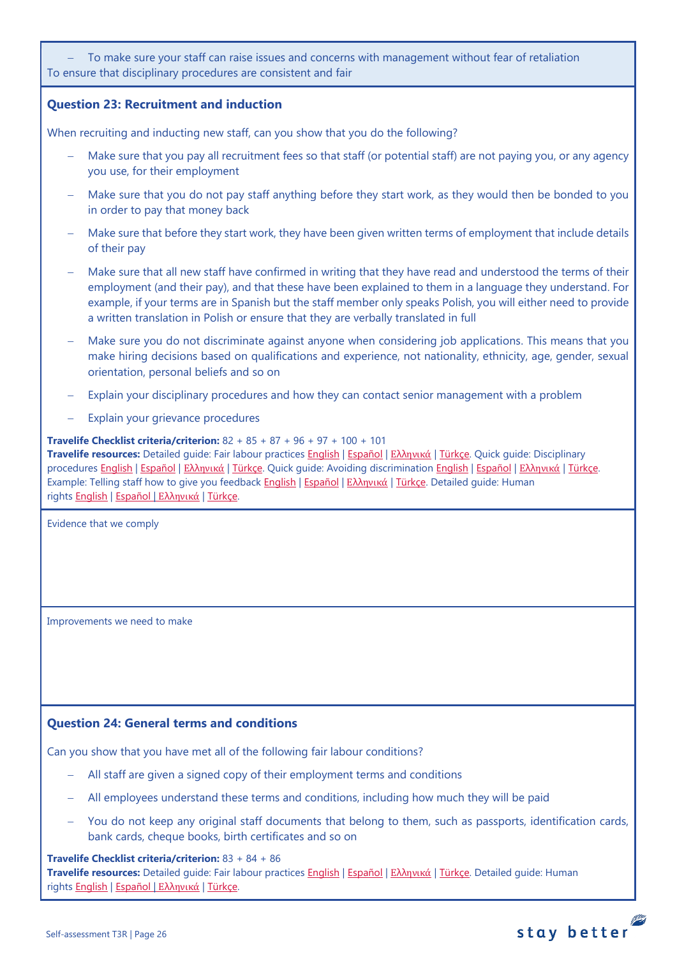To make sure your staff can raise issues and concerns with management without fear of retaliation To ensure that disciplinary procedures are consistent and fair

## <span id="page-25-1"></span>**Question 23: Recruitment and induction**

When recruiting and inducting new staff, can you show that you do the following?

- Make sure that you pay all recruitment fees so that staff (or potential staff) are not paying you, or any agency you use, for their employment
- − Make sure that you do not pay staff anything before they start work, as they would then be bonded to you in order to pay that money back
- Make sure that before they start work, they have been given written terms of employment that include details of their pay
- − Make sure that all new staff have confirmed in writing that they have read and understood the terms of their employment (and their pay), and that these have been explained to them in a language they understand. For example, if your terms are in Spanish but the staff member only speaks Polish, you will either need to provide a written translation in Polish or ensure that they are verbally translated in full
- Make sure you do not discriminate against anyone when considering job applications. This means that you make hiring decisions based on qualifications and experience, not nationality, ethnicity, age, gender, sexual orientation, personal beliefs and so on
- Explain your disciplinary procedures and how they can contact senior management with a problem
- Explain your grievance procedures

**Travelife Checklist criteria/criterion:** 82 + 85 + 87 + 96 + 97 + 100 + 101 **Travelife resources:** Detailed guide: Fair labour practices [English](https://travelifestaybetter.com/wp-content/uploads/2021/01/10-Detailed-Guide-Fair-Labour-Practices.pdf) | [Español](https://travelifestaybetter.com/wp-content/uploads/2021/01/10-ES-Detailed-Guide-Fair-Labour-Practices.pdf) | Ελλ[ηνικά](https://travelifestaybetter.com/wp-content/uploads/2021/01/10-GR-Detailed-Guide-Fair-Labour-Practices.pdf) | [Türkçe.](https://travelifestaybetter.com/wp-content/uploads/2021/01/10-Detailed-Guide-Fair-Labour-Practices-TR-Adil-Is-Gucu-Uygulamalari-Detayli-Kilavuz.pdf) Quick guide: Disciplinary procedures [English](https://travelifestaybetter.com/wp-content/uploads/2019/02/11-Quick-Guide-Disciplinary-Procedures.pdf) | [Español](https://travelifestaybetter.com/wp-content/uploads/2019/02/11-ES-Quick-Guide-Disciplinary-Procedures.pdf) | Ελλ[ηνικά](https://travelifestaybetter.com/wp-content/uploads/2020/07/36-Quick-Guide-Disciplinary-Procedures-GR.pdf) | [Türkçe.](https://travelifestaybetter.com/wp-content/uploads/2020/08/11-Quick-Guide-Disciplinary-Procedures-TR-11-Hizli-Kilavuz-Disiplin-Proseduru.pdf) Quick guide: Avoiding discrimination [English](https://travelifestaybetter.com/wp-content/uploads/2019/02/13-Quick-Guide-Avoiding-Workplace-Discrimination.pdf) | [Español](https://travelifestaybetter.com/wp-content/uploads/2019/02/13-ES-Quick-Guide-Avoiding-Workplace-Discrimination.pdf) | Ελλ[ηνικά](https://travelifestaybetter.com/wp-content/uploads/2020/07/38-Quick-Guide-Avoiding-Workplace-Discrimination-GR.pdf) | [Türkçe.](https://travelifestaybetter.com/wp-content/uploads/2020/10/13-Quick-Guide-Avoiding-Workplace-Discrimination-TR-Isyerinde-Ayrimciligi-Onlemek-icin-Hizli-Kilavuz.pdf) Example: Telling staff how to give you feedback [English](https://travelifestaybetter.com/wp-content/uploads/2019/02/6-Example-Feedback-Instructions-for-Staff.pdf) | [Español](https://travelifestaybetter.com/wp-content/uploads/2019/02/6-ES-Example-Feedback-Instructions-for-Staff.pdf) | Ελλ[ηνικά](https://travelifestaybetter.com/wp-content/uploads/2021/01/6-GR-Example-Feedback-Instructions-for-Staff.pdf) | [Türkçe.](https://travelifestaybetter.com/wp-content/uploads/2020/08/6-Example-Feedback-Instructions-for-Staff-TR-6-Ornek-Calisan-Geri-Bildirim-Talimati.pdf) Detailed guide: Human rights [English](https://travelifestaybetter.com/wp-content/uploads/2021/01/8-Detailed-Guide-Human-Rights.pdf) | [Español](https://travelifestaybetter.com/wp-content/uploads/2021/01/8-ES-Detailed-Guide-Human-Rights.pdf) | Ελλ[ηνικά](https://travelifestaybetter.com/wp-content/uploads/2021/01/8-GR-Detailed-Guide-Human-Rights.pdf) | [Türkçe.](https://travelifestaybetter.com/wp-content/uploads/2021/01/8-Detailed-Guide-Human-Rights-TR-Insan-Haklari-Detayli-Kilavuz.pdf)

Evidence that we comply

<span id="page-25-0"></span>Improvements we need to make

## <span id="page-25-2"></span>**Question 24: General terms and conditions**

Can you show that you have met all of the following fair labour conditions?

- − All staff are given a signed copy of their employment terms and conditions
- − All employees understand these terms and conditions, including how much they will be paid
- You do not keep any original staff documents that belong to them, such as passports, identification cards, bank cards, cheque books, birth certificates and so on

**Travelife Checklist criteria/criterion:** 83 + 84 + 86 **Travelife resources:** Detailed guide: Fair labour practices [English](https://travelifestaybetter.com/wp-content/uploads/2021/01/10-Detailed-Guide-Fair-Labour-Practices.pdf) | [Español](https://travelifestaybetter.com/wp-content/uploads/2021/01/10-ES-Detailed-Guide-Fair-Labour-Practices.pdf) | Ελλ[ηνικά](https://travelifestaybetter.com/wp-content/uploads/2021/01/10-GR-Detailed-Guide-Fair-Labour-Practices.pdf) | [Türkçe.](https://travelifestaybetter.com/wp-content/uploads/2021/01/10-Detailed-Guide-Fair-Labour-Practices-TR-Adil-Is-Gucu-Uygulamalari-Detayli-Kilavuz.pdf) Detailed guide: Human rights [English](https://travelifestaybetter.com/wp-content/uploads/2021/01/8-Detailed-Guide-Human-Rights.pdf) | [Español](https://travelifestaybetter.com/wp-content/uploads/2021/01/8-ES-Detailed-Guide-Human-Rights.pdf) | Ελλ[ηνικά](https://travelifestaybetter.com/wp-content/uploads/2021/01/8-GR-Detailed-Guide-Human-Rights.pdf) | [Türkçe.](https://travelifestaybetter.com/wp-content/uploads/2021/01/8-Detailed-Guide-Human-Rights-TR-Insan-Haklari-Detayli-Kilavuz.pdf)

# stay better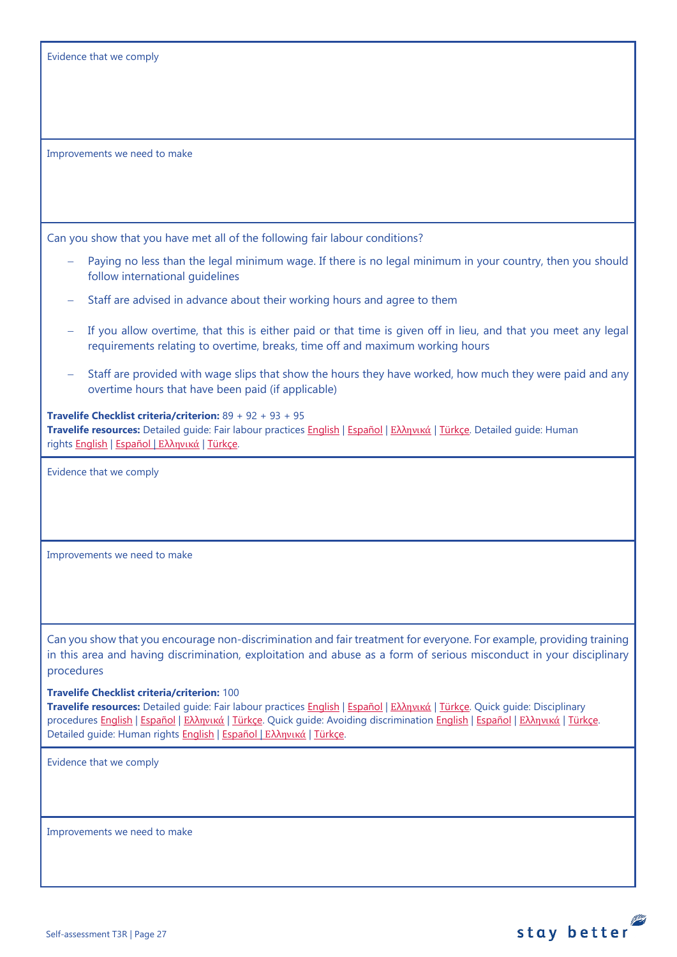Evidence that we comply

Improvements we need to make

Can you show that you have met all of the following fair labour conditions?

- Paying no less than the legal minimum wage. If there is no legal minimum in your country, then you should follow international guidelines
- − Staff are advised in advance about their working hours and agree to them
- If you allow overtime, that this is either paid or that time is given off in lieu, and that you meet any legal requirements relating to overtime, breaks, time off and maximum working hours
- Staff are provided with wage slips that show the hours they have worked, how much they were paid and any overtime hours that have been paid (if applicable)

**Travelife Checklist criteria/criterion:** 89 + 92 + 93 + 95 **Travelife resources:** Detailed guide: Fair labour practices [English](https://travelifestaybetter.com/wp-content/uploads/2021/01/10-Detailed-Guide-Fair-Labour-Practices.pdf) | [Español](https://travelifestaybetter.com/wp-content/uploads/2021/01/10-ES-Detailed-Guide-Fair-Labour-Practices.pdf) | Ελλ[ηνικά](https://travelifestaybetter.com/wp-content/uploads/2021/01/10-GR-Detailed-Guide-Fair-Labour-Practices.pdf) | [Türkçe.](https://travelifestaybetter.com/wp-content/uploads/2021/01/10-Detailed-Guide-Fair-Labour-Practices-TR-Adil-Is-Gucu-Uygulamalari-Detayli-Kilavuz.pdf) Detailed guide: Human rights [English](https://travelifestaybetter.com/wp-content/uploads/2021/01/8-Detailed-Guide-Human-Rights.pdf) | [Español](https://travelifestaybetter.com/wp-content/uploads/2021/01/8-ES-Detailed-Guide-Human-Rights.pdf) | Ελλ[ηνικά](https://travelifestaybetter.com/wp-content/uploads/2021/01/8-GR-Detailed-Guide-Human-Rights.pdf) | [Türkçe.](https://travelifestaybetter.com/wp-content/uploads/2021/01/8-Detailed-Guide-Human-Rights-TR-Insan-Haklari-Detayli-Kilavuz.pdf)

Evidence that we comply

Improvements we need to make

Can you show that you encourage non-discrimination and fair treatment for everyone. For example, providing training in this area and having discrimination, exploitation and abuse as a form of serious misconduct in your disciplinary procedures

#### **Travelife Checklist criteria/criterion:** 100

**Travelife resources:** Detailed guide: Fair labour practices [English](https://travelifestaybetter.com/wp-content/uploads/2021/01/10-Detailed-Guide-Fair-Labour-Practices.pdf) | [Español](https://travelifestaybetter.com/wp-content/uploads/2021/01/10-ES-Detailed-Guide-Fair-Labour-Practices.pdf) | Ελλ[ηνικά](https://travelifestaybetter.com/wp-content/uploads/2021/01/10-GR-Detailed-Guide-Fair-Labour-Practices.pdf) | [Türkçe.](https://travelifestaybetter.com/wp-content/uploads/2021/01/10-Detailed-Guide-Fair-Labour-Practices-TR-Adil-Is-Gucu-Uygulamalari-Detayli-Kilavuz.pdf) Quick guide: Disciplinary procedures [English](https://travelifestaybetter.com/wp-content/uploads/2019/02/13-Quick-Guide-Avoiding-Workplace-Discrimination.pdf) | Εspañol | Ελλ[ηνικά](https://travelifestaybetter.com/wp-content/uploads/2020/07/38-Quick-Guide-Avoiding-Workplace-Discrimination-GR.pdf) | [Türkçe.](https://travelifestaybetter.com/wp-content/uploads/2020/08/11-Quick-Guide-Disciplinary-Procedures-TR-11-Hizli-Kilavuz-Disiplin-Proseduru.pdf) Quick guide: Avoiding discrimination English | Εspañol | Ελληνικά | [Türkçe.](https://travelifestaybetter.com/wp-content/uploads/2020/10/13-Quick-Guide-Avoiding-Workplace-Discrimination-TR-Isyerinde-Ayrimciligi-Onlemek-icin-Hizli-Kilavuz.pdf) Detailed guide: Human rights **[English](https://travelifestaybetter.com/wp-content/uploads/2021/01/8-Detailed-Guide-Human-Rights.pdf) | [Español](https://travelifestaybetter.com/wp-content/uploads/2021/01/8-ES-Detailed-Guide-Human-Rights.pdf) | Ελλ[ηνικά](https://travelifestaybetter.com/wp-content/uploads/2021/01/8-GR-Detailed-Guide-Human-Rights.pdf) | [Türkçe.](https://travelifestaybetter.com/wp-content/uploads/2021/01/8-Detailed-Guide-Human-Rights-TR-Insan-Haklari-Detayli-Kilavuz.pdf)** 

Evidence that we comply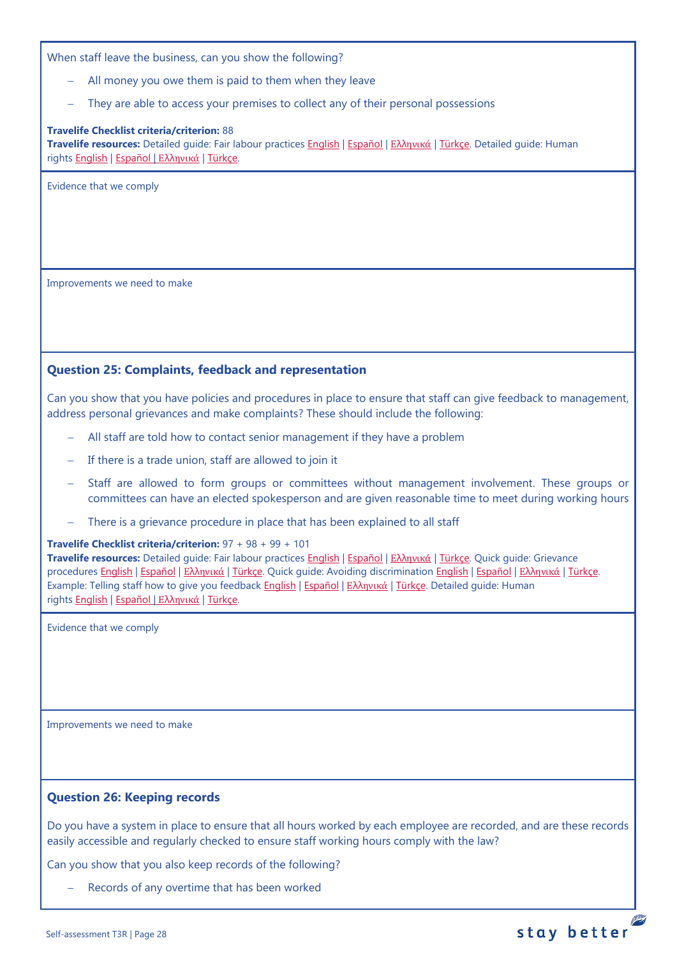When staff leave the business, can you show the following?

- All money you owe them is paid to them when they leave
- They are able to access your premises to collect any of their personal possessions

#### **Travelife Checklist criteria/criterion:** 88

**Travelife resources:** Detailed guide: Fair labour practices [English](https://travelifestaybetter.com/wp-content/uploads/2021/01/10-Detailed-Guide-Fair-Labour-Practices.pdf) | [Español](https://travelifestaybetter.com/wp-content/uploads/2021/01/10-ES-Detailed-Guide-Fair-Labour-Practices.pdf) | Ελλ[ηνικά](https://travelifestaybetter.com/wp-content/uploads/2021/01/10-GR-Detailed-Guide-Fair-Labour-Practices.pdf) | [Türkçe.](https://travelifestaybetter.com/wp-content/uploads/2021/01/10-Detailed-Guide-Fair-Labour-Practices-TR-Adil-Is-Gucu-Uygulamalari-Detayli-Kilavuz.pdf) Detailed guide: Human rights [English](https://travelifestaybetter.com/wp-content/uploads/2021/01/8-Detailed-Guide-Human-Rights.pdf) | [Español](https://travelifestaybetter.com/wp-content/uploads/2021/01/8-ES-Detailed-Guide-Human-Rights.pdf) | Ελλ[ηνικά](https://travelifestaybetter.com/wp-content/uploads/2021/01/8-GR-Detailed-Guide-Human-Rights.pdf) | [Türkçe.](https://travelifestaybetter.com/wp-content/uploads/2021/01/8-Detailed-Guide-Human-Rights-TR-Insan-Haklari-Detayli-Kilavuz.pdf)

Evidence that we comply

Improvements we need to make

## <span id="page-27-0"></span>**Question 25: Complaints, feedback and representation**

Can you show that you have policies and procedures in place to ensure that staff can give feedback to management, address personal grievances and make complaints? These should include the following:

- − All staff are told how to contact senior management if they have a problem
- − If there is a trade union, staff are allowed to join it
- Staff are allowed to form groups or committees without management involvement. These groups or committees can have an elected spokesperson and are given reasonable time to meet during working hours
- There is a grievance procedure in place that has been explained to all staff

#### **Travelife Checklist criteria/criterion:** 97 + 98 + 99 + 101

**Travelife resources:** Detailed guide: Fair labour practices [English](https://travelifestaybetter.com/wp-content/uploads/2021/01/10-Detailed-Guide-Fair-Labour-Practices.pdf) | [Español](https://travelifestaybetter.com/wp-content/uploads/2021/01/10-ES-Detailed-Guide-Fair-Labour-Practices.pdf) | Ελλ[ηνικά](https://travelifestaybetter.com/wp-content/uploads/2021/01/10-GR-Detailed-Guide-Fair-Labour-Practices.pdf) | [Türkçe.](https://travelifestaybetter.com/wp-content/uploads/2021/01/10-Detailed-Guide-Fair-Labour-Practices-TR-Adil-Is-Gucu-Uygulamalari-Detayli-Kilavuz.pdf) Quick guide: Grievance procedures [English](https://travelifestaybetter.com/wp-content/uploads/2019/02/12-Quick-Guide-Grievance-Procedures.pdf) | [Español](https://travelifestaybetter.com/wp-content/uploads/2019/02/12-ES-Quick-Guide-Grievance-Procedures.pdf) | Ελλ[ηνικά](https://travelifestaybetter.com/wp-content/uploads/2020/07/37-Quick-Guide-Grievance-Procedures-GR.pdf) | [Türkçe.](https://travelifestaybetter.com/wp-content/uploads/2020/08/12-Quick-Guide-Grievance-Procedures-TR-12-Hizli-Kilavuz-Sikayet-Proseduru.pdf) Quick guide: Avoiding discrimination [English](https://travelifestaybetter.com/wp-content/uploads/2019/02/13-Quick-Guide-Avoiding-Workplace-Discrimination.pdf) | [Español](https://travelifestaybetter.com/wp-content/uploads/2019/02/13-ES-Quick-Guide-Avoiding-Workplace-Discrimination.pdf) | Ελλ[ηνικά](https://travelifestaybetter.com/wp-content/uploads/2020/07/38-Quick-Guide-Avoiding-Workplace-Discrimination-GR.pdf) | [Türkçe.](https://travelifestaybetter.com/wp-content/uploads/2020/10/13-Quick-Guide-Avoiding-Workplace-Discrimination-TR-Isyerinde-Ayrimciligi-Onlemek-icin-Hizli-Kilavuz.pdf) Example: Telling staff how to give you feedback [English](https://travelifestaybetter.com/wp-content/uploads/2019/02/6-Example-Feedback-Instructions-for-Staff.pdf) | [Español](https://travelifestaybetter.com/wp-content/uploads/2019/02/6-ES-Example-Feedback-Instructions-for-Staff.pdf) | Ελλ[ηνικά](https://travelifestaybetter.com/wp-content/uploads/2021/01/6-GR-Example-Feedback-Instructions-for-Staff.pdf) | [Türkçe.](https://travelifestaybetter.com/wp-content/uploads/2020/08/6-Example-Feedback-Instructions-for-Staff-TR-6-Ornek-Calisan-Geri-Bildirim-Talimati.pdf) Detailed guide: Human rights [English](https://travelifestaybetter.com/wp-content/uploads/2021/01/8-Detailed-Guide-Human-Rights.pdf) | [Español](https://travelifestaybetter.com/wp-content/uploads/2021/01/8-ES-Detailed-Guide-Human-Rights.pdf) | Ελλ[ηνικά](https://travelifestaybetter.com/wp-content/uploads/2021/01/8-GR-Detailed-Guide-Human-Rights.pdf) | [Türkçe.](https://travelifestaybetter.com/wp-content/uploads/2021/01/8-Detailed-Guide-Human-Rights-TR-Insan-Haklari-Detayli-Kilavuz.pdf)

Evidence that we comply

Improvements we need to make

#### <span id="page-27-1"></span>**Question 26: Keeping records**

Do you have a system in place to ensure that all hours worked by each employee are recorded, and are these records easily accessible and regularly checked to ensure staff working hours comply with the law?

Can you show that you also keep records of the following?

Records of any overtime that has been worked